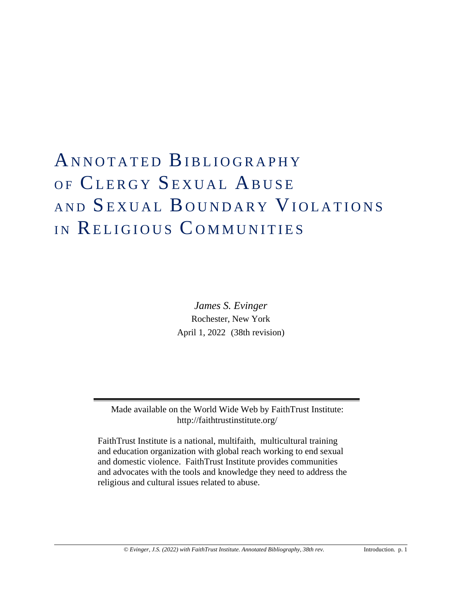# ANNOTATED BIBLIOGRAPHY OF CLERGY SEXUAL ABUSE AND SEXUAL BOUNDARY VIOLATIONS IN RELIGIOUS COMMUNITIES

*James S. Evinger* Rochester, New York April 1, 2022 (38th revision)

Made available on the World Wide Web by FaithTrust Institute: <http://faithtrustinstitute.org/>

FaithTrust Institute is a national, multifaith, multicultural training and education organization with global reach working to end sexual and domestic violence. FaithTrust Institute provides communities and advocates with the tools and knowledge they need to address the religious and cultural issues related to abuse.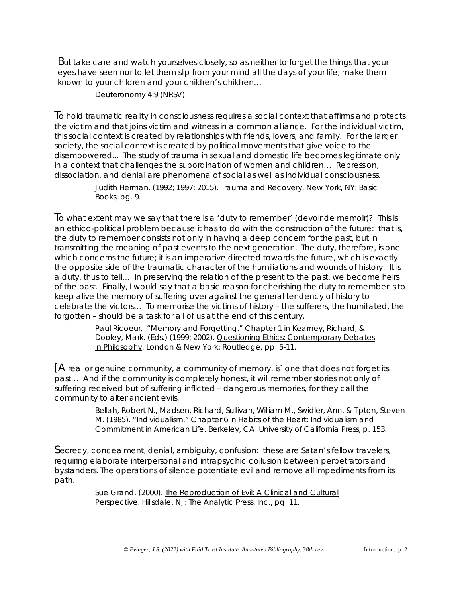But take care and watch yourselves closely, so as neither to forget the things that your eyes have seen nor to let them slip from your mind all the days of your life; make them known to your children and your children's children…

Deuteronomy 4:9 (NRSV)

To hold traumatic reality in consciousness requires a social context that affirms and protects the victim and that joins victim and witness in a common alliance. For the individual victim, this social context is created by relationships with friends, lovers, and family. For the larger society, the social context is created by political movements that give voice to the disempowered... The study of trauma in sexual and domestic life becomes legitimate only in a context that challenges the subordination of women and children… Repression, dissociation, and denial are phenomena of social as well as individual consciousness.

> Judith Herman. (1992; 1997; 2015). Trauma and Recovery. New York, NY: Basic Books, pg. 9.

To what extent may we say that there is a 'duty to remember' *(devoir de memoir)*? This is an ethico-political problem because it has to do with the construction of the future: that is, the duty to remember consists not only in having a deep concern for the past, but in transmitting the meaning of past events to the next generation. The duty, therefore, is one which concerns the future; it is an imperative directed towards the future, which is exactly the opposite side of the traumatic character of the humiliations and wounds of history. It is a duty, thus to tell… In preserving the relation of the present to the past, we become heirs of the past. Finally, I would say that a basic reason for cherishing the duty to remember is to keep alive the memory of suffering over against the general tendency of history to celebrate the victors… To memorise the victims of history – the sufferers, the humiliated, the forgotten – should be a task for all of us at the end of this century.

> Paul Ricoeur. "Memory and Forgetting." Chapter 1 in Kearney, Richard, & Dooley, Mark. (Eds.) (1999; 2002). Questioning Ethics: Contemporary Debates in Philosophy. London & New York: Routledge, pp. 5-11.

[A real or genuine community, a *community of memory*, is] one that does not forget its past… And if the community is completely honest, it will remember stories not only of suffering received but of suffering inflicted – dangerous memories, for they call the community to alter ancient evils.

> Bellah, Robert N., Madsen, Richard, Sullivan, William M., Swidler, Ann, & Tipton, Steven M. (1985). "Individualism." Chapter 6 in *Habits of the Heart: Individualism and Commitment in American Life*. Berkeley, CA: University of California Press, p. 153.

Secrecy, concealment, denial, ambiguity, confusion: these are Satan's fellow travelers, requiring elaborate interpersonal and intrapsychic collusion between perpetrators and bystanders. The operations of silence potentiate evil and remove all impediments from its path.

> Sue Grand. (2000). The Reproduction of Evil: A Clinical and Cultural Perspective. Hillsdale, NJ: The Analytic Press, Inc., pg. 11.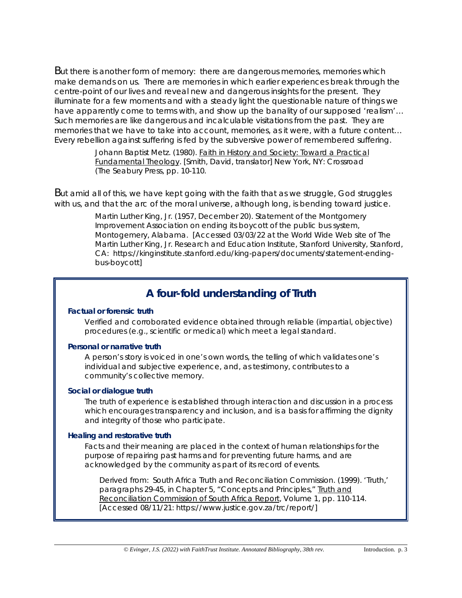But there is another form of memory: there are dangerous memories, memories which make demands on us. There are memories in which earlier experiences break through the centre-point of our lives and reveal new and dangerous insights for the present. They illuminate for a few moments and with a steady light the questionable nature of things we have apparently come to terms with, and show up the banality of our supposed 'realism'... Such memories are like dangerous and incalculable visitations from the past. They are memories that we have to take into account, memories, as it were, with a future content… Every rebellion against suffering is fed by the subversive power of remembered suffering.

> Johann Baptist Metz. (1980). Faith in History and Society: Toward a Practical Fundamental Theology. [Smith, David, translator] New York, NY: Crossroad (The Seabury Press, pp. 10-110.

But amid all of this, we have kept going with the faith that as we struggle, God struggles with us, and that the arc of the moral universe, although long, is bending toward justice.

> Martin Luther King, Jr. (1957, December 20). Statement of the Montgomery Improvement Association on ending its boycott of the public bus system, Montogemery, Alabama. [Accessed 03/03/22 at the World Wide Web site of The Martin Luther King, Jr. Research and Education Institute, Stanford University, Stanford, CA: [https://kinginstitute.stanford.edu/king-papers/documents/statement-ending](https://kinginstitute.stanford.edu/king-papers/documents/statement-ending-bus-boycott)[bus-boycott\]](https://kinginstitute.stanford.edu/king-papers/documents/statement-ending-bus-boycott)

# **A four-fold understanding of Truth**

# **Factual or forensic truth**

Verified and corroborated evidence obtained through reliable (impartial, objective) procedures (e.g., scientific or medical) which meet a legal standard.

## **Personal or narrative truth**

A person's story is voiced in one's own words, the telling of which validates one's individual and subjective experience, and, as testimony, contributes to a community's collective memory.

# **Social or dialogue truth**

The truth of experience is established through interaction and discussion in a process which encourages transparency and inclusion, and is a basis for affirming the dignity and integrity of those who participate.

## **Healing and restorative truth**

Facts and their meaning are placed in the context of human relationships for the purpose of repairing past harms and for preventing future harms, and are acknowledged by the community as part of its record of events.

Derived from: South Africa Truth and Reconciliation Commission. (1999). 'Truth,' paragraphs 29-45, in Chapter 5, "Concepts and Principles," Truth and Reconciliation Commission of South Africa Report, Volume 1, pp. 110-114. [Accessed 08/11/21: [https://www.justice.gov.za/trc/report/\]](https://www.justice.gov.za/trc/report/)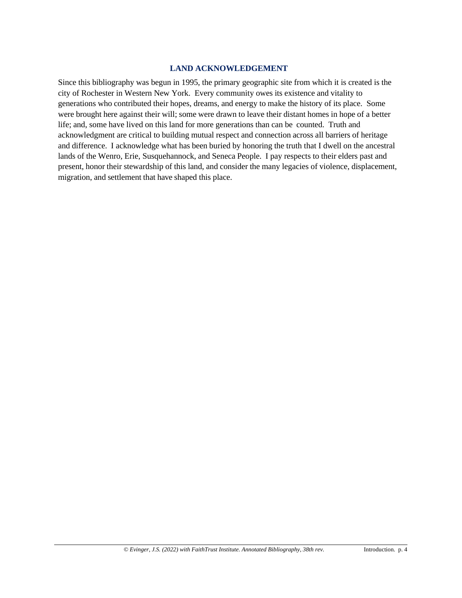# **LAND ACKNOWLEDGEMENT**

Since this bibliography was begun in 1995, the primary geographic site from which it is created is the city of Rochester in Western New York. Every community owes its existence and vitality to generations who contributed their hopes, dreams, and energy to make the history of its place. Some were brought here against their will; some were drawn to leave their distant homes in hope of a better life; and, some have lived on this land for more generations than can be counted. Truth and acknowledgment are critical to building mutual respect and connection across all barriers of heritage and difference. I acknowledge what has been buried by honoring the truth that I dwell on the ancestral lands of the Wenro, Erie, Susquehannock, and Seneca People. I pay respects to their elders past and present, honor their stewardship of this land, and consider the many legacies of violence, displacement, migration, and settlement that have shaped this place.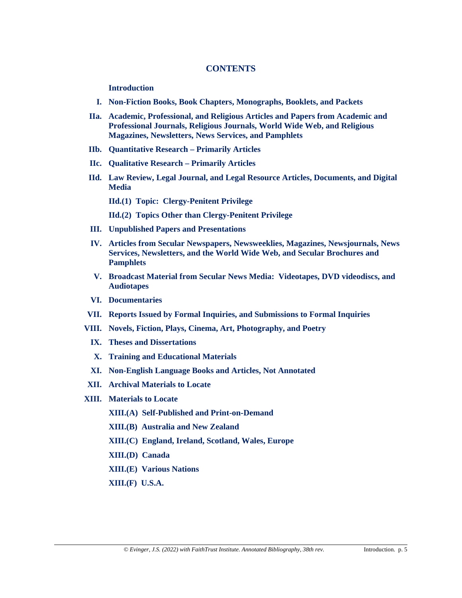# **CONTENTS**

#### **Introduction**

- **I. Non-Fiction Books, Book Chapters, Monographs, Booklets, and Packets**
- **IIa. Academic, Professional, and Religious Articles and Papers from Academic and Professional Journals, Religious Journals, World Wide Web, and Religious Magazines, Newsletters, News Services, and Pamphlets**
- **IIb. Quantitative Research – Primarily Articles**
- **IIc. Qualitative Research – Primarily Articles**
- **IId. Law Review, Legal Journal, and Legal Resource Articles, Documents, and Digital Media**
	- **IId.(1) Topic: Clergy-Penitent Privilege**
	- **IId.(2) Topics Other than Clergy-Penitent Privilege**
- **III. Unpublished Papers and Presentations**
- **IV. Articles from Secular Newspapers, Newsweeklies, Magazines, Newsjournals, News Services, Newsletters, and the World Wide Web, and Secular Brochures and Pamphlets**
- **V. Broadcast Material from Secular News Media: Videotapes, DVD videodiscs, and Audiotapes**
- **VI. Documentaries**
- **VII. Reports Issued by Formal Inquiries, and Submissions to Formal Inquiries**
- **VIII. Novels, Fiction, Plays, Cinema, Art, Photography, and Poetry**
	- **IX. Theses and Dissertations**
	- **X. Training and Educational Materials**
	- **XI. Non-English Language Books and Articles, Not Annotated**
- **XII. Archival Materials to Locate**
- **XIII. Materials to Locate**
	- **XIII.(A) Self-Published and Print-on-Demand**
	- **XIII.(B) Australia and New Zealand**
	- **XIII.(C) England, Ireland, Scotland, Wales, Europe**
	- **XIII.(D) Canada**
	- **XIII.(E) Various Nations**
	- **XIII.(F) U.S.A.**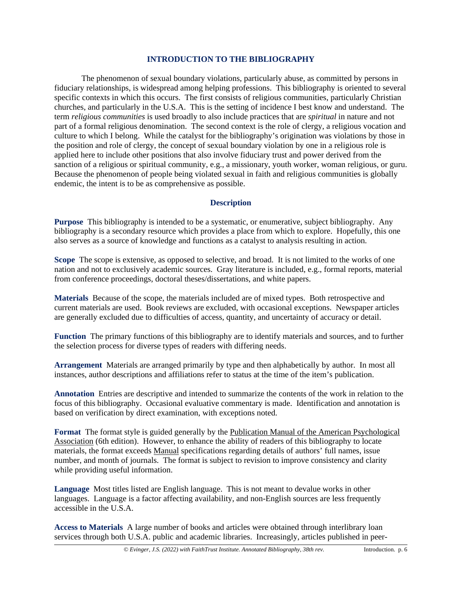# **INTRODUCTION TO THE BIBLIOGRAPHY**

The phenomenon of sexual boundary violations, particularly abuse, as committed by persons in fiduciary relationships, is widespread among helping professions. This bibliography is oriented to several specific contexts in which this occurs. The first consists of religious communities, particularly Christian churches, and particularly in the U.S.A. This is the setting of incidence I best know and understand. The term *religious communities* is used broadly to also include practices that are *spiritual* in nature and not part of a formal religious denomination. The second context is the role of clergy, a religious vocation and culture to which I belong. While the catalyst for the bibliography's origination was violations by those in the position and role of clergy, the concept of sexual boundary violation by one in a religious role is applied here to include other positions that also involve fiduciary trust and power derived from the sanction of a religious or spiritual community, e.g., a missionary, youth worker, woman religious, or guru. Because the phenomenon of people being violated sexual in faith and religious communities is globally endemic, the intent is to be as comprehensive as possible.

# **Description**

**Purpose** This bibliography is intended to be a systematic, or enumerative, subject bibliography. Any bibliography is a secondary resource which provides a place from which to explore. Hopefully, this one also serves as a source of knowledge and functions as a catalyst to analysis resulting in action.

**Scope** The scope is extensive, as opposed to selective, and broad. It is not limited to the works of one nation and not to exclusively academic sources. Gray literature is included, e.g., formal reports, material from conference proceedings, doctoral theses/dissertations, and white papers.

**Materials** Because of the scope, the materials included are of mixed types. Both retrospective and current materials are used. Book reviews are excluded, with occasional exceptions. Newspaper articles are generally excluded due to difficulties of access, quantity, and uncertainty of accuracy or detail.

**Function** The primary functions of this bibliography are to identify materials and sources, and to further the selection process for diverse types of readers with differing needs.

**Arrangement** Materials are arranged primarily by type and then alphabetically by author. In most all instances, author descriptions and affiliations refer to status at the time of the item's publication.

**Annotation** Entries are descriptive and intended to summarize the contents of the work in relation to the focus of this bibliography. Occasional evaluative commentary is made. Identification and annotation is based on verification by direct examination, with exceptions noted.

**Format** The format style is guided generally by the Publication Manual of the American Psychological Association (6th edition). However, to enhance the ability of readers of this bibliography to locate materials, the format exceeds Manual specifications regarding details of authors' full names, issue number, and month of journals. The format is subject to revision to improve consistency and clarity while providing useful information.

**Language** Most titles listed are English language. This is not meant to devalue works in other languages. Language is a factor affecting availability, and non-English sources are less frequently accessible in the U.S.A.

**Access to Materials** A large number of books and articles were obtained through interlibrary loan services through both U.S.A. public and academic libraries. Increasingly, articles published in peer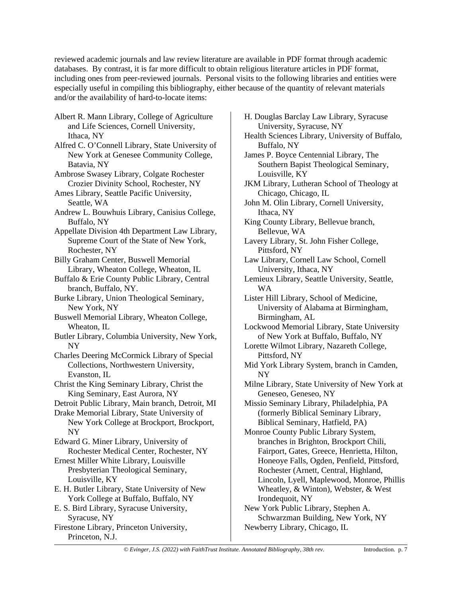reviewed academic journals and law review literature are available in PDF format through academic databases. By contrast, it is far more difficult to obtain religious literature articles in PDF format, including ones from peer-reviewed journals. Personal visits to the following libraries and entities were especially useful in compiling this bibliography, either because of the quantity of relevant materials and/or the availability of hard-to-locate items:

- Albert R. Mann Library, College of Agriculture and Life Sciences, Cornell University, Ithaca, NY
- Alfred C. O'Connell Library, State University of New York at Genesee Community College, Batavia, NY
- Ambrose Swasey Library, Colgate Rochester Crozier Divinity School, Rochester, NY
- Ames Library, Seattle Pacific University, Seattle, WA
- Andrew L. Bouwhuis Library, Canisius College, Buffalo, NY
- Appellate Division 4th Department Law Library, Supreme Court of the State of New York, Rochester, NY
- Billy Graham Center, Buswell Memorial Library, Wheaton College, Wheaton, IL
- Buffalo & Erie County Public Library, Central branch, Buffalo, NY.
- Burke Library, Union Theological Seminary, New York, NY
- Buswell Memorial Library, Wheaton College, Wheaton, IL
- Butler Library, Columbia University, New York, NY
- Charles Deering McCormick Library of Special Collections, Northwestern University, Evanston, IL
- Christ the King Seminary Library, Christ the King Seminary, East Aurora, NY
- Detroit Public Library, Main branch, Detroit, MI
- Drake Memorial Library, State University of New York College at Brockport, Brockport, NY
- Edward G. Miner Library, University of Rochester Medical Center, Rochester, NY
- Ernest Miller White Library, Louisville Presbyterian Theological Seminary, Louisville, KY
- E. H. Butler Library, State University of New York College at Buffalo, Buffalo, NY
- E. S. Bird Library, Syracuse University, Syracuse, NY
- Firestone Library, Princeton University, Princeton, N.J.
- H. Douglas Barclay Law Library, Syracuse University, Syracuse, NY
- Health Sciences Library, University of Buffalo, Buffalo, NY
- James P. Boyce Centennial Library, The Southern Bapist Theological Seminary, Louisville, KY
- JKM Library, Lutheran School of Theology at Chicago, Chicago, IL
- John M. Olin Library, Cornell University, Ithaca, NY
- King County Library, Bellevue branch, Bellevue, WA
- Lavery Library, St. John Fisher College, Pittsford, NY
- Law Library, Cornell Law School, Cornell University, Ithaca, NY
- Lemieux Library, Seattle University, Seattle, WA
- Lister Hill Library, School of Medicine, University of Alabama at Birmingham, Birmingham, AL
- Lockwood Memorial Library, State University of New York at Buffalo, Buffalo, NY
- Lorette Wilmot Library, Nazareth College, Pittsford, NY
- Mid York Library System, branch in Camden, NY
- Milne Library, State University of New York at Geneseo, Geneseo, NY
- Missio Seminary Library, Philadelphia, PA (formerly Biblical Seminary Library, Biblical Seminary, Hatfield, PA)
- Monroe County Public Library System, branches in Brighton, Brockport Chili, Fairport, Gates, Greece, Henrietta, Hilton, Honeoye Falls, Ogden, Penfield, Pittsford, Rochester (Arnett, Central, Highland, Lincoln, Lyell, Maplewood, Monroe, Phillis Wheatley, & Winton), Webster, & West Irondequoit, NY
- New York Public Library, Stephen A. Schwarzman Building, New York, NY Newberry Library, Chicago, IL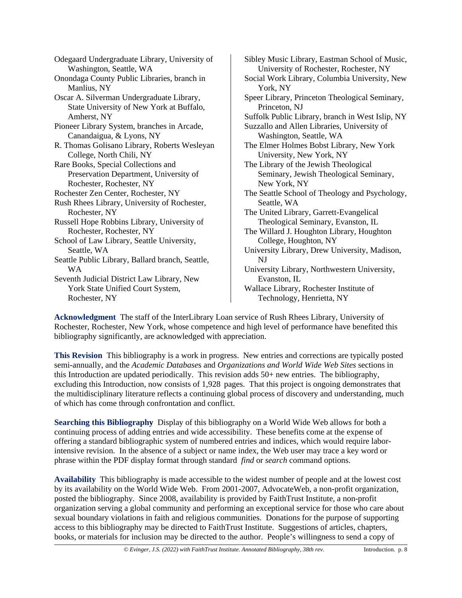Odegaard Undergraduate Library, University of Washington, Seattle, WA Onondaga County Public Libraries, branch in Manlius, NY Oscar A. Silverman Undergraduate Library, State University of New York at Buffalo, Amherst, NY Pioneer Library System, branches in Arcade, Canandaigua, & Lyons, NY R. Thomas Golisano Library, Roberts Wesleyan College, North Chili, NY Rare Books, Special Collections and Preservation Department, University of Rochester, Rochester, NY Rochester Zen Center, Rochester, NY Rush Rhees Library, University of Rochester, Rochester, NY Russell Hope Robbins Library, University of Rochester, Rochester, NY School of Law Library, Seattle University, Seattle, WA Seattle Public Library, Ballard branch, Seattle, WA Seventh Judicial District Law Library, New York State Unified Court System, Rochester, NY

Sibley Music Library, Eastman School of Music, University of Rochester, Rochester, NY Social Work Library, Columbia University, New York, NY Speer Library, Princeton Theological Seminary, Princeton, NJ Suffolk Public Library, branch in West Islip, NY Suzzallo and Allen Libraries, University of Washington, Seattle, WA The Elmer Holmes Bobst Library, New York University, New York, NY The Library of the Jewish Theological Seminary, Jewish Theological Seminary, New York, NY The Seattle School of Theology and Psychology, Seattle, WA The United Library, Garrett-Evangelical Theological Seminary, Evanston, IL The Willard J. Houghton Library, Houghton College, Houghton, NY University Library, Drew University, Madison, NJ University Library, Northwestern University, Evanston, IL Wallace Library, Rochester Institute of Technology, Henrietta, NY

**Acknowledgment** The staff of the InterLibrary Loan service of Rush Rhees Library, University of Rochester, Rochester, New York, whose competence and high level of performance have benefited this bibliography significantly, are acknowledged with appreciation.

**This Revision** This bibliography is a work in progress. New entries and corrections are typically posted semi-annually, and the *Academic Database*s and *Organizations and World Wide Web Sites* sections in this Introduction are updated periodically. This revision adds 50+ new entries. The bibliography, excluding this Introduction, now consists of 1,928 pages. That this project is ongoing demonstrates that the multidisciplinary literature reflects a continuing global process of discovery and understanding, much of which has come through confrontation and conflict.

**Searching this Bibliography** Display of this bibliography on a World Wide Web allows for both a continuing process of adding entries and wide accessibility. These benefits come at the expense of offering a standard bibliographic system of numbered entries and indices, which would require laborintensive revision. In the absence of a subject or name index, the Web user may trace a key word or phrase within the PDF display format through standard *find* or *search* command options.

**Availability** This bibliography is made accessible to the widest number of people and at the lowest cost by its availability on the World Wide Web. From 2001-2007, AdvocateWeb, a non-profit organization, posted the bibliography. Since 2008, availability is provided by FaithTrust Institute, a non-profit organization serving a global community and performing an exceptional service for those who care about sexual boundary violations in faith and religious communities. Donations for the purpose of supporting access to this bibliography may be directed to FaithTrust Institute. Suggestions of articles, chapters, books, or materials for inclusion may be directed to the author. People's willingness to send a copy of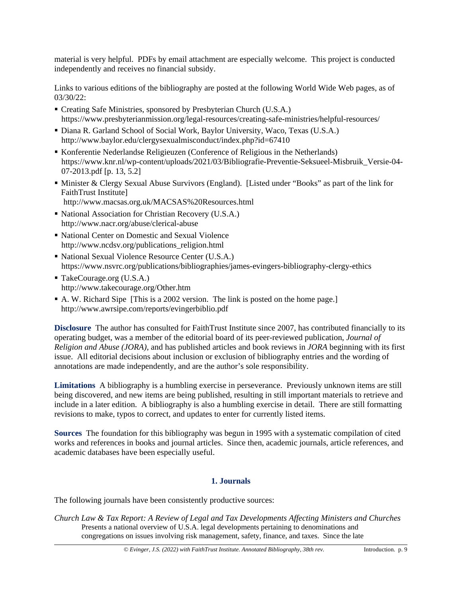material is very helpful. PDFs by email attachment are especially welcome. This project is conducted independently and receives no financial subsidy.

Links to various editions of the bibliography are posted at the following World Wide Web pages, as of 03/30/22:

- Creating Safe Ministries, sponsored by Presbyterian Church (U.S.A.) <https://www.presbyterianmission.org/legal-resources/creating-safe-ministries/helpful-resources/>
- Diana R. Garland School of Social Work, Baylor University, Waco, Texas (U.S.A.) <http://www.baylor.edu/clergysexualmisconduct/index.php?id=67410>
- Konferentie Nederlandse Religieuzen (Conference of Religious in the Netherlands) [https://www.knr.nl/wp-content/uploads/2021/03/Bibliografie-Preventie-Seksueel-Misbruik\\_Versie-04-](https://www.knr.nl/wp-content/uploads/2021/03/Bibliografie-Preventie-Seksueel-Misbruik_Versie-04-07-2013.pdf) [07-2013.pdf](https://www.knr.nl/wp-content/uploads/2021/03/Bibliografie-Preventie-Seksueel-Misbruik_Versie-04-07-2013.pdf) [p. 13, 5.2]
- Minister & Clergy Sexual Abuse Survivors (England). [Listed under "Books" as part of the link for FaithTrust Institute] <http://www.macsas.org.uk/MACSAS%20Resources.html>
- National Association for Christian Recovery (U.S.A.) <http://www.nacr.org/abuse/clerical-abuse>
- National Center on Domestic and Sexual Violence [http://www.ncdsv.org/publications\\_religion.html](http://www.ncdsv.org/publications_religion.html)
- National Sexual Violence Resource Center (U.S.A.) <https://www.nsvrc.org/publications/bibliographies/james-evingers-bibliography-clergy-ethics>
- TakeCourage.org (U.S.A.) <http://www.takecourage.org/Other.htm>
- A. W. Richard Sipe [This is a 2002 version. The link is posted on the home page.] <http://www.awrsipe.com/reports/evingerbiblio.pdf>

**Disclosure** The author has consulted for FaithTrust Institute since 2007, has contributed financially to its operating budget, was a member of the editorial board of its peer-reviewed publication, *Journal of Religion and Abuse (JORA)*, and has published articles and book reviews in *JORA* beginning with its first issue. All editorial decisions about inclusion or exclusion of bibliography entries and the wording of annotations are made independently, and are the author's sole responsibility.

**Limitations** A bibliography is a humbling exercise in perseverance. Previously unknown items are still being discovered, and new items are being published, resulting in still important materials to retrieve and include in a later edition. A bibliography is also a humbling exercise in detail. There are still formatting revisions to make, typos to correct, and updates to enter for currently listed items.

**Sources** The foundation for this bibliography was begun in 1995 with a systematic compilation of cited works and references in books and journal articles. Since then, academic journals, article references, and academic databases have been especially useful.

# **1. Journals**

The following journals have been consistently productive sources:

*Church Law & Tax Report: A Review of Legal and Tax Developments Affecting Ministers and Churches* Presents a national overview of U.S.A. legal developments pertaining to denominations and congregations on issues involving risk management, safety, finance, and taxes. Since the late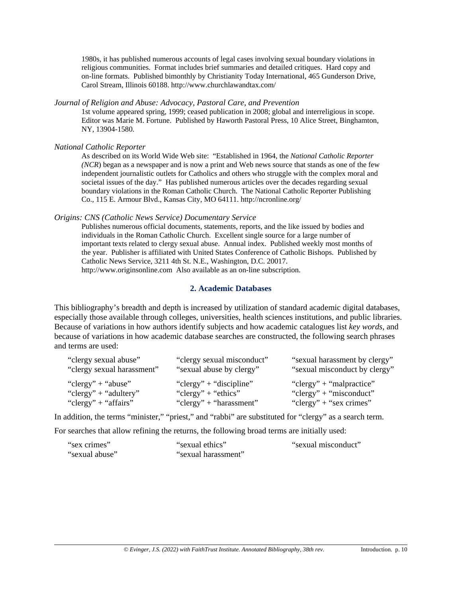1980s, it has published numerous accounts of legal cases involving sexual boundary violations in religious communities. Format includes brief summaries and detailed critiques. Hard copy and on-line formats. Published bimonthly by Christianity Today International, 465 Gunderson Drive, Carol Stream, Illinois 60188.<http://www.churchlawandtax.com/>

# *Journal of Religion and Abuse: Advocacy, Pastoral Care, and Prevention*

1st volume appeared spring, 1999; ceased publication in 2008; global and interreligious in scope. Editor was Marie M. Fortune. Published by Haworth Pastoral Press, 10 Alice Street, Binghamton, NY, 13904-1580.

*National Catholic Reporter*

As described on its World Wide Web site: "Established in 1964, the *National Catholic Reporter (NCR*) began as a newspaper and is now a print and Web news source that stands as one of the few independent journalistic outlets for Catholics and others who struggle with the complex moral and societal issues of the day." Has published numerous articles over the decades regarding sexual boundary violations in the Roman Catholic Church. The National Catholic Reporter Publishing Co., 115 E. Armour Blvd., Kansas City, MO 64111. <http://ncronline.org/>

## *Origins: CNS (Catholic News Service) Documentary Service*

Publishes numerous official documents, statements, reports, and the like issued by bodies and individuals in the Roman Catholic Church. Excellent single source for a large number of important texts related to clergy sexual abuse. Annual index. Published weekly most months of the year. Publisher is affiliated with United States Conference of Catholic Bishops. Published by Catholic News Service, 3211 4th St. N.E., Washington, D.C. 20017. [http://www.originsonline.com](http://www.originsonline.com/) Also available as an on-line subscription.

# **2. Academic Databases**

This bibliography's breadth and depth is increased by utilization of standard academic digital databases, especially those available through colleges, universities, health sciences institutions, and public libraries. Because of variations in how authors identify subjects and how academic catalogues list *key words*, and because of variations in how academic database searches are constructed, the following search phrases and terms are used:

| "clergy sexual abuse"      | "clergy sexual misconduct" | "sexual harassment by clergy" |
|----------------------------|----------------------------|-------------------------------|
| "clergy sexual harassment" | "sexual abuse by clergy"   | "sexual misconduct by clergy" |
| "clergy" + "abuse"         | "clergy" + "discipline"    | "clergy" + "malpractice"      |
| "clergy" + "adultery"      | "clergy" + "ethics"        | "clergy" + "misconduct"       |
| "clergy" + "affairs"       | "clergy" + "harassment"    | "clergy" + "sex crimes"       |

In addition, the terms "minister," "priest," and "rabbi" are substituted for "clergy" as a search term.

For searches that allow refining the returns, the following broad terms are initially used:

| "sex crimes"   | "sexual ethics"     | "sexual misconduct" |
|----------------|---------------------|---------------------|
| "sexual abuse" | "sexual harassment" |                     |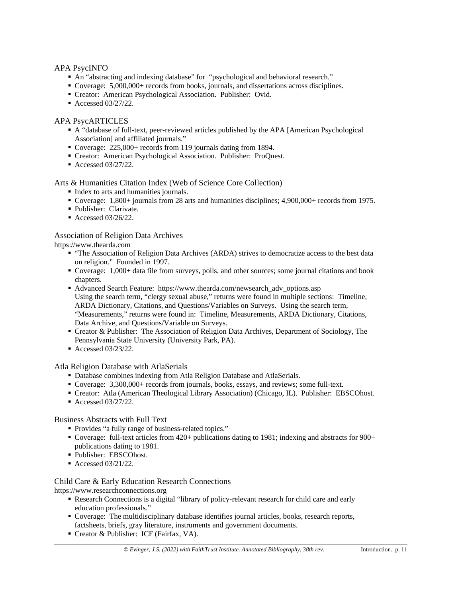## APA PsycINFO

- An "abstracting and indexing database" for "psychological and behavioral research."
- Coverage: 5,000,000+ records from books, journals, and dissertations across disciplines.
- Creator: American Psychological Association. Publisher: Ovid.
- Accessed 03/27/22.

# APA PsycARTICLES

- A "database of full-text, peer-reviewed articles published by the APA [American Psychological Association] and affiliated journals."
- Coverage: 225,000+ records from 119 journals dating from 1894.
- Creator: American Psychological Association. Publisher: ProQuest.
- Accessed 03/27/22.

# Arts & Humanities Citation Index (Web of Science Core Collection)

- Index to arts and humanities journals.
- Coverage: 1,800+ journals from 28 arts and humanities disciplines; 4,900,000+ records from 1975.
- Publisher: Clarivate.
- Accessed  $03/26/22$ .

# Association of Religion Data Archives

[https://www.thearda.com](https://www.thearda.com/)

- "The Association of Religion Data Archives (ARDA) strives to democratize access to the best data on religion." Founded in 1997.
- Coverage: 1,000+ data file from surveys, polls, and other sources; some journal citations and book chapters.
- Advanced Search Feature: [https://www.thearda.com/newsearch\\_adv\\_options.asp](https://www.thearda.com/newsearch_adv_options.asp) Using the search term, "clergy sexual abuse," returns were found in multiple sections: Timeline, ARDA Dictionary, Citations, and Questions/Variables on Surveys. Using the search term, "Measurements," returns were found in: Timeline, Measurements, ARDA Dictionary, Citations, Data Archive, and Questions/Variable on Surveys.
- Creator & Publisher: The Association of Religion Data Archives, Department of Sociology, The Pennsylvania State University (University Park, PA).
- Accessed 03/23/22.

## Atla Religion Database with AtlaSerials

- Database combines indexing from Atla Religion Database and AtlaSerials.
- Coverage: 3,300,000+ records from journals, books, essays, and reviews; some full-text.
- Creator: Atla (American Theological Library Association) (Chicago, IL). Publisher: EBSCOhost.
- Accessed 03/27/22.

## Business Abstracts with Full Text

- Provides "a fully range of business-related topics."
- Coverage: full-text articles from 420+ publications dating to 1981; indexing and abstracts for 900+ publications dating to 1981.
- Publisher: EBSCOhost.
- Accessed 03/21/22.

# Child Care & Early Education Research Connections

[https://www.researchconnections.org](https://www.researchconnections.org/)

- Research Connections is a digital "library of policy-relevant research for child care and early education professionals."
- Coverage: The multidisciplinary database identifies journal articles, books, research reports, factsheets, briefs, gray literature, instruments and government documents.
- Creator & Publisher: ICF (Fairfax, VA).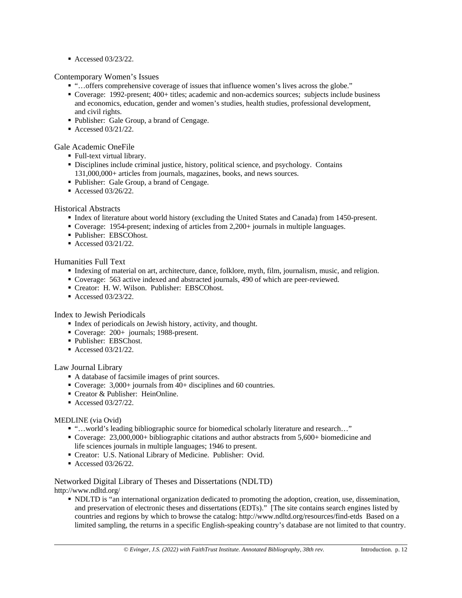■ Accessed 03/23/22.

## Contemporary Women's Issues

- "…offers comprehensive coverage of issues that influence women's lives across the globe."
- Coverage: 1992-present; 400+ titles; academic and non-acdemics sources; subjects include business and economics, education, gender and women's studies, health studies, professional development, and civil rights.
- Publisher: Gale Group, a brand of Cengage.
- Accessed 03/21/22.
- Gale Academic OneFile
	- Full-text virtual library.
	- Disciplines include criminal justice, history, political science, and psychology. Contains 131,000,000+ articles from journals, magazines, books, and news sources.
	- Publisher: Gale Group, a brand of Cengage.
	- Accessed 03/26/22.

# Historical Abstracts

- Index of literature about world history (excluding the United States and Canada) from 1450-present.
- Coverage: 1954-present; indexing of articles from 2,200+ journals in multiple languages.
- Publisher: EBSCOhost.
- Accessed 03/21/22.

## Humanities Full Text

- Indexing of material on art, architecture, dance, folklore, myth, film, journalism, music, and religion.
- Coverage: 563 active indexed and abstracted journals, 490 of which are peer-reviewed.
- Creator: H. W. Wilson. Publisher: EBSCOhost.
- Accessed 03/23/22.

## Index to Jewish Periodicals

- Index of periodicals on Jewish history, activity, and thought.
- Coverage: 200+ journals; 1988-present.
- Publisher: EBSChost.
- Accessed 03/21/22.

## Law Journal Library

- A database of facsimile images of print sources.
- Coverage: 3,000+ journals from 40+ disciplines and 60 countries.
- Creator & Publisher: HeinOnline.
- Accessed 03/27/22.

## MEDLINE (via Ovid)

- "...world's leading bibliographic source for biomedical scholarly literature and research..."
- Coverage: 23,000,000+ bibliographic citations and author abstracts from 5,600+ biomedicine and life sciences journals in multiple languages; 1946 to present.
- Creator: U.S. National Library of Medicine. Publisher: Ovid.
- Accessed 03/26/22.

#### Networked Digital Library of Theses and Dissertations (NDLTD) <http://www.ndltd.org/>

 NDLTD is "an international organization dedicated to promoting the adoption, creation, use, dissemination, and preservation of electronic theses and dissertations (EDTs)." [The site contains search engines listed by countries and regions by which to browse the catalog:<http://www.ndltd.org/resources/find-etds>Based on a limited sampling, the returns in a specific English-speaking country's database are not limited to that country.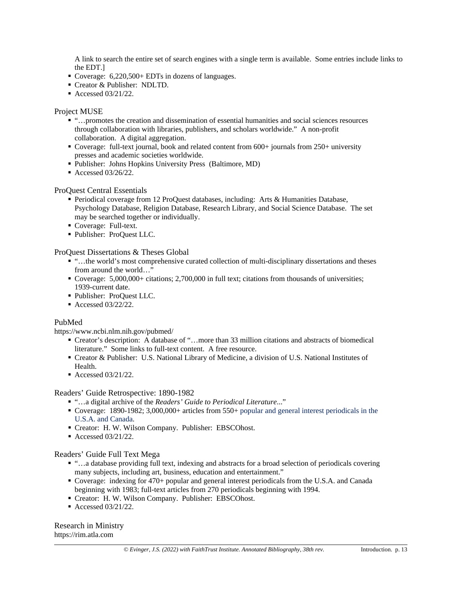A link to search the entire set of search engines with a single term is available. Some entries include links to the EDT.]

- Coverage: 6,220,500+ EDTs in dozens of languages.
- Creator & Publisher: NDLTD.
- Accessed 03/21/22.

# Project MUSE

- "…promotes the creation and dissemination of essential humanities and social sciences resources through collaboration with libraries, publishers, and scholars worldwide." A non-profit collaboration. A digital aggregation.
- Coverage: full-text journal, book and related content from 600+ journals from 250+ university presses and academic societies worldwide.
- Publisher: Johns Hopkins University Press (Baltimore, MD)
- Accessed  $03/26/22$ .

# ProQuest Central Essentials

- **Periodical coverage from 12 ProQuest databases, including: Arts & Humanities Database,** Psychology Database, Religion Database, Research Library, and Social Science Database. The set may be searched together or individually.
- Coverage: Full-text.
- Publisher: ProQuest LLC.

ProQuest Dissertations & Theses Global

- "…the world's most comprehensive curated collection of multi-disciplinary dissertations and theses from around the world…"
- Coverage: 5,000,000+ citations; 2,700,000 in full text; citations from thousands of universities; 1939-current date.
- Publisher: ProQuest LLC.
- Accessed 03/22/22.

## PubMed

<https://www.ncbi.nlm.nih.gov/pubmed/>

- Creator's description: A database of "…more than 33 million citations and abstracts of biomedical literature." Some links to full-text content. A free resource.
- Creator & Publisher: U.S. National Library of Medicine, a division of U.S. National Institutes of Health.
- Accessed 03/21/22.

## Readers' Guide Retrospective: 1890-1982

- "...a digital archive of the *Readers' Guide to Periodical Literature*..."
- Coverage: 1890-1982; 3,000,000+ articles from 550+ popular and general interest periodicals in the U.S.A. and Canada.
- Creator: H. W. Wilson Company. Publisher: EBSCOhost.
- Accessed 03/21/22.

## Readers' Guide Full Text Mega

- "…a database providing full text, indexing and abstracts for a broad selection of periodicals covering many subjects, including art, business, education and entertainment."
- Coverage: indexing for 470+ popular and general interest periodicals from the U.S.A. and Canada beginning with 1983; full-text articles from 270 periodicals beginning with 1994.
- Creator: H. W. Wilson Company. Publisher: EBSCOhost.
- Accessed 03/21/22.

Research in Ministry [https://rim.atla.com](https://rim.atla.com/)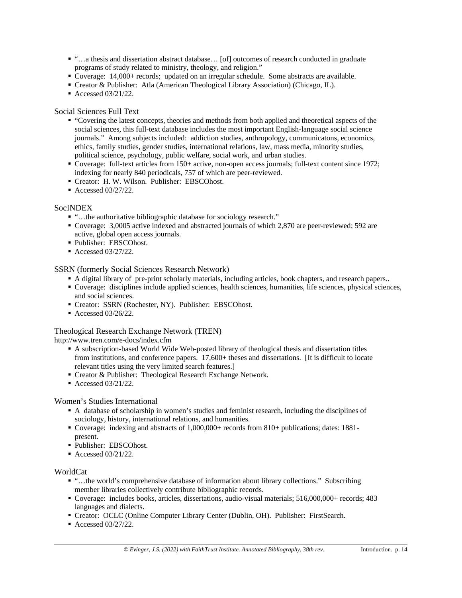- "…a thesis and dissertation abstract database… [of] outcomes of research conducted in graduate programs of study related to ministry, theology, and religion."
- Coverage: 14,000+ records; updated on an irregular schedule. Some abstracts are available.
- Creator & Publisher: Atla (American Theological Library Association) (Chicago, IL).
- Accessed 03/21/22.

# Social Sciences Full Text

- "Covering the latest concepts, theories and methods from both applied and theoretical aspects of the social sciences, this full-text database includes the most important English-language social science journals." Among subjects included: addiction studies, anthropology, communicatons, economics, ethics, family studies, gender studies, international relations, law, mass media, minority studies, political science, psychology, public welfare, social work, and urban studies.
- Coverage: full-text articles from 150+ active, non-open access journals; full-text content since 1972; indexing for nearly 840 periodicals, 757 of which are peer-reviewed.
- Creator: H. W. Wilson. Publisher: EBSCOhost.
- Accessed 03/27/22.

# SocINDEX

- "…the authoritative bibliographic database for sociology research."
- Coverage: 3,0005 active indexed and abstracted journals of which 2,870 are peer-reviewed; 592 are active, global open access journals.
- Publisher: EBSCOhost.
- Accessed 03/27/22.

# SSRN (formerly Social Sciences Research Network)

- A digital library of pre-print scholarly materials, including articles, book chapters, and research papers..
- Coverage: disciplines include applied sciences, health sciences, humanities, life sciences, physical sciences, and social sciences.
- Creator: SSRN (Rochester, NY). Publisher: EBSCOhost.
- Accessed  $03/26/22$ .

## Theological Research Exchange Network (TREN)

<http://www.tren.com/e-docs/index.cfm>

- A subscription-based World Wide Web-posted library of theological thesis and dissertation titles from institutions, and conference papers. 17,600+ theses and dissertations. [It is difficult to locate relevant titles using the very limited search features.]
- Creator & Publisher: Theological Research Exchange Network.
- Accessed 03/21/22.

## Women's Studies International

- A database of scholarship in women's studies and feminist research, including the disciplines of sociology, history, international relations, and humanities.
- Coverage: indexing and abstracts of 1,000,000+ records from 810+ publications; dates: 1881 present.
- Publisher: EBSCOhost.
- Accessed 03/21/22.

## WorldCat

- "…the world's comprehensive database of information about library collections." Subscribing member libraries collectively contribute bibliographic records.
- Coverage: includes books, articles, dissertations, audio-visual materials; 516,000,000+ records; 483 languages and dialects.
- Creator: OCLC (Online Computer Library Center (Dublin, OH). Publisher: FirstSearch.
- Accessed 03/27/22.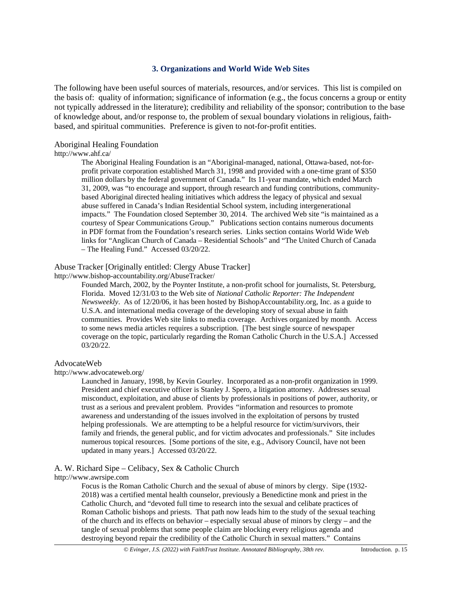# **3. Organizations and World Wide Web Sites**

The following have been useful sources of materials, resources, and/or services. This list is compiled on the basis of: quality of information; significance of information (e.g., the focus concerns a group or entity not typically addressed in the literature); credibility and reliability of the sponsor; contribution to the base of knowledge about, and/or response to, the problem of sexual boundary violations in religious, faithbased, and spiritual communities. Preference is given to not-for-profit entities.

# Aboriginal Healing Foundation

## <http://www.ahf.ca/>

The Aboriginal Healing Foundation is an "Aboriginal-managed, national, Ottawa-based, not-forprofit private corporation established March 31, 1998 and provided with a one-time grant of \$350 million dollars by the federal government of Canada." Its 11-year mandate, which ended March 31, 2009, was "to encourage and support, through research and funding contributions, communitybased Aboriginal directed healing initiatives which address the legacy of physical and sexual abuse suffered in Canada's Indian Residential School system, including intergenerational impacts." The Foundation closed September 30, 2014. The archived Web site "is maintained as a courtesy of Spear Communications Group." Publications section contains numerous documents in PDF format from the Foundation's research series. Links section contains World Wide Web links for "Anglican Church of Canada – Residential Schools" and "The United Church of Canada – The Healing Fund." Accessed 03/20/22.

# Abuse Tracker [Originally entitled: Clergy Abuse Tracker]

<http://www.bishop-accountability.org/AbuseTracker/>

Founded March, 2002, by the Poynter Institute, a non-profit school for journalists, St. Petersburg, Florida. Moved 12/31/03 to the Web site of *National Catholic Reporter: The Independent Newsweekly*. As of 12/20/06, it has been hosted by BishopAccountability.org, Inc. as a guide to U.S.A. and international media coverage of the developing story of sexual abuse in faith communities. Provides Web site links to media coverage. Archives organized by month. Access to some news media articles requires a subscription. [The best single source of newspaper coverage on the topic, particularly regarding the Roman Catholic Church in the U.S.A.] Accessed 03/20/22.

## AdvocateWeb

<http://www.advocateweb.org/>

Launched in January, 1998, by Kevin Gourley. Incorporated as a non-profit organization in 1999. President and chief executive officer is Stanley J. Spero, a litigation attorney. Addresses sexual misconduct, exploitation, and abuse of clients by professionals in positions of power, authority, or trust as a serious and prevalent problem. Provides "information and resources to promote awareness and understanding of the issues involved in the exploitation of persons by trusted helping professionals. We are attempting to be a helpful resource for victim/survivors, their family and friends, the general public, and for victim advocates and professionals." Site includes numerous topical resources. [Some portions of the site, e.g., Advisory Council, have not been updated in many years.] Accessed 03/20/22.

A. W. Richard Sipe – Celibacy, Sex & Catholic Church

[http://www.awrsipe.com](http://www.awrsipe.com/)

Focus is the Roman Catholic Church and the sexual of abuse of minors by clergy. Sipe (1932- 2018) was a certified mental health counselor, previously a Benedictine monk and priest in the Catholic Church, and "devoted full time to research into the sexual and celibate practices of Roman Catholic bishops and priests. That path now leads him to the study of the sexual teaching of the church and its effects on behavior – especially sexual abuse of minors by clergy – and the tangle of sexual problems that some people claim are blocking every religious agenda and destroying beyond repair the credibility of the Catholic Church in sexual matters." Contains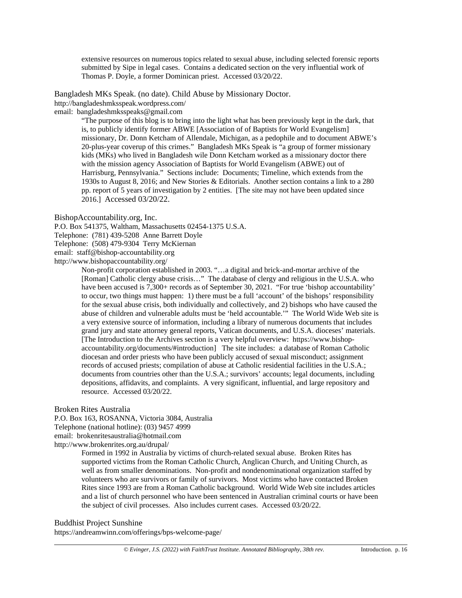extensive resources on numerous topics related to sexual abuse, including selected forensic reports submitted by Sipe in legal cases. Contains a dedicated section on the very influential work of Thomas P. Doyle, a former Dominican priest. Accessed 03/20/22.

Bangladesh MKs Speak. (no date). Child Abuse by Missionary Doctor.

<http://bangladeshmksspeak.wordpress.com/>

email: bangladeshmksspeaks@gmail.com

"The purpose of this blog is to bring into the light what has been previously kept in the dark, that is, to publicly identify former ABWE [Association of of Baptists for World Evangelism] missionary, Dr. Donn Ketcham of Allendale, Michigan, as a pedophile and to document ABWE's 20-plus-year coverup of this crimes." Bangladesh MKs Speak is "a group of former missionary kids (MKs) who lived in Bangladesh wile Donn Ketcham worked as a missionary doctor there with the mission agency Association of Baptists for World Evangelism (ABWE) out of Harrisburg, Pennsylvania." Sections include: Documents; Timeline, which extends from the 1930s to August 8, 2016; and New Stories & Editorials. Another section contains a link to a 280 pp. report of 5 years of investigation by 2 entities. [The site may not have been updated since 2016.] Accessed 03/20/22.

BishopAccountability.org, Inc.

P.O. Box 541375, Waltham, Massachusetts 02454-1375 U.S.A.

Telephone: (781) 439-5208 Anne Barrett Doyle

Telephone: (508) 479-9304 Terry McKiernan

email: [staff@bishop-accountability.org](mailto:staff@bishop-accountability.org)

<http://www.bishopaccountability.org/>

Non-profit corporation established in 2003. "…a digital and brick-and-mortar archive of the [Roman] Catholic clergy abuse crisis..." The database of clergy and religious in the U.S.A. who have been accused is 7,300+ records as of September 30, 2021. "For true 'bishop accountability' to occur, two things must happen: 1) there must be a full 'account' of the bishops' responsibility for the sexual abuse crisis, both individually and collectively, and 2) bishops who have caused the abuse of children and vulnerable adults must be 'held accountable.'" The World Wide Web site is a very extensive source of information, including a library of numerous documents that includes grand jury and state attorney general reports, Vatican documents, and U.S.A. dioceses' materials. [The Introduction to the Archives section is a very helpful overview: [https://www.bishop](https://www.bishop-accountability.org/documents/#introduction)[accountability.org/documents/#introduction\]](https://www.bishop-accountability.org/documents/#introduction) The site includes: a database of Roman Catholic diocesan and order priests who have been publicly accused of sexual misconduct; assignment records of accused priests; compilation of abuse at Catholic residential facilities in the U.S.A.; documents from countries other than the U.S.A.; survivors' accounts; legal documents, including depositions, affidavits, and complaints. A very significant, influential, and large repository and resource. Accessed 03/20/22.

Broken Rites Australia

P.O. Box 163, ROSANNA, Victoria 3084, Australia Telephone (national hotline): (03) 9457 4999 email: brokenritesaustralia@hotmail.com <http://www.brokenrites.org.au/drupal/>

> Formed in 1992 in Australia by victims of church-related sexual abuse. Broken Rites has supported victims from the Roman Catholic Church, Anglican Church, and Uniting Church, as well as from smaller denominations. Non-profit and nondenominational organization staffed by volunteers who are survivors or family of survivors. Most victims who have contacted Broken Rites since 1993 are from a Roman Catholic background. World Wide Web site includes articles and a list of church personnel who have been sentenced in Australian criminal courts or have been the subject of civil processes. Also includes current cases. Accessed 03/20/22.

## Buddhist Project Sunshine

<https://andreamwinn.com/offerings/bps-welcome-page/>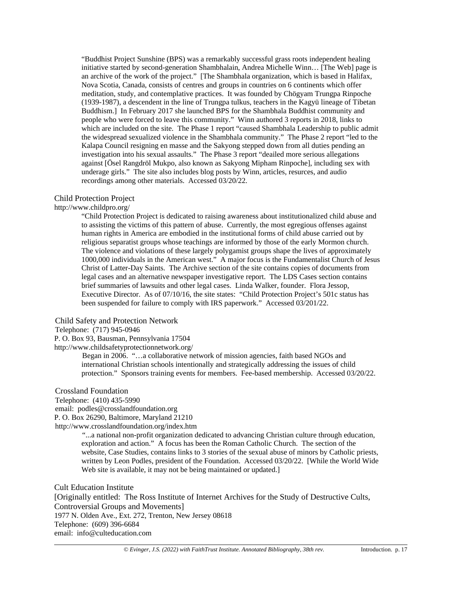"Buddhist Project Sunshine (BPS) was a remarkably successful grass roots independent healing initiative started by second-generation Shambhalain, Andrea Michelle Winn… [The Web] page is an archive of the work of the project." [The Shambhala organization, which is based in Halifax, Nova Scotia, Canada, consists of centres and groups in countries on 6 continents which offer meditation, study, and contemplative practices. It was founded by Chögyam Trungpa Rinpoche (1939-1987), a descendent in the line of Trungpa tulkus, teachers in the Kagyü lineage of Tibetan Buddhism.] In February 2017 she launched BPS for the Shambhala Buddhist community and people who were forced to leave this community." Winn authored 3 reports in 2018, links to which are included on the site. The Phase 1 report "caused Shambhala Leadership to public admit the widespread sexualized violence in the Shambhala community." The Phase 2 report "led to the Kalapa Council resigning en masse and the Sakyong stepped down from all duties pending an investigation into his sexual assaults." The Phase 3 report "deailed more serious allegations against [Ösel Rangdröl Mukpo, also known as Sakyong Mipham Rinpoche], including sex with underage girls." The site also includes blog posts by Winn, articles, resurces, and audio recordings among other materials. Accessed 03/20/22.

#### Child Protection Project

## <http://www.childpro.org/>

"Child Protection Project is dedicated to raising awareness about institutionalized child abuse and to assisting the victims of this pattern of abuse. Currently, the most egregious offenses against human rights in America are embodied in the institutional forms of child abuse carried out by religious separatist groups whose teachings are informed by those of the early Mormon church. The violence and violations of these largely polygamist groups shape the lives of approximately 1000,000 individuals in the American west." A major focus is the Fundamentalist Church of Jesus Christ of Latter-Day Saints. The Archive section of the site contains copies of documents from legal cases and an alternative newspaper investigative report. The LDS Cases section contains brief summaries of lawsuits and other legal cases. Linda Walker, founder. Flora Jessop, Executive Director. As of 07/10/16, the site states: "Child Protection Project's 501c status has been suspended for failure to comply with IRS paperwork." Accessed 03/201/22.

#### Child Safety and Protection Network

## Telephone: (717) 945-0946

P. O. Box 93, Bausman, Pennsylvania 17504

<http://www.childsafetyprotectionnetwork.org/>

Began in 2006. "…a collaborative network of mission agencies, faith based NGOs and international Christian schools intentionally and strategically addressing the issues of child protection." Sponsors training events for members. Fee-based membership. Accessed 03/20/22.

#### Crossland Foundation

Telephone: (410) 435-5990

email: [podles@crosslandfoundation.org](mailto:podles@crosslandfoundation.org)

P. O. Box 26290, Baltimore, Maryland 21210

<http://www.crosslandfoundation.org/index.htm>

"...a national non-profit organization dedicated to advancing Christian culture through education, exploration and action." A focus has been the Roman Catholic Church. The section of the website, Case Studies, contains links to 3 stories of the sexual abuse of minors by Catholic priests, written by Leon Podles, president of the Foundation. Accessed 03/20/22. [While the World Wide Web site is available, it may not be being maintained or updated.]

Cult Education Institute [Originally entitled: The Ross Institute of Internet Archives for the Study of Destructive Cults, Controversial Groups and Movements] 1977 N. Olden Ave., Ext. 272, Trenton, New Jersey 08618 Telephone: (609) 396-6684 email: info@culteducation.com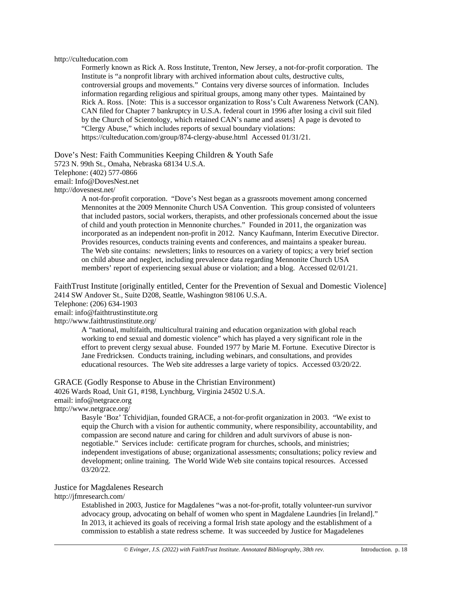#### [http://culteducation.com](http://culteducation.com/)

Formerly known as Rick A. Ross Institute, Trenton, New Jersey, a not-for-profit corporation. The Institute is "a nonprofit library with archived information about cults, destructive cults, controversial groups and movements." Contains very diverse sources of information. Includes information regarding religious and spiritual groups, among many other types. Maintained by Rick A. Ross. [Note: This is a successor organization to Ross's Cult Awareness Network (CAN). CAN filed for Chapter 7 bankruptcy in U.S.A. federal court in 1996 after losing a civil suit filed by the Church of Scientology, which retained CAN's name and assets] A page is devoted to "Clergy Abuse," which includes reports of sexual boundary violations: <https://culteducation.com/group/874-clergy-abuse.html>Accessed 01/31/21.

Dove's Nest: Faith Communities Keeping Children & Youth Safe

5723 N. 99th St., Omaha, Nebraska 68134 U.S.A.

Telephone: (402) 577-0866

email: Info@DovesNest.net

<http://dovesnest.net/>

A not-for-profit corporation. "Dove's Nest began as a grassroots movement among concerned Mennonites at the 2009 Mennonite Church USA Convention. This group consisted of volunteers that included pastors, social workers, therapists, and other professionals concerned about the issue of child and youth protection in Mennonite churches." Founded in 2011, the organization was incorporated as an independent non-profit in 2012. Nancy Kaufmann, Interim Executive Director. Provides resources, conducts training events and conferences, and maintains a speaker bureau. The Web site contains: newsletters; links to resources on a variety of topics; a very brief section on child abuse and neglect, including prevalence data regarding Mennonite Church USA members' report of experiencing sexual abuse or violation; and a blog. Accessed 02/01/21.

FaithTrust Institute [originally entitled, Center for the Prevention of Sexual and Domestic Violence] 2414 SW Andover St., Suite D208, Seattle, Washington 98106 U.S.A.

Telephone: (206) 634-1903

email: info@faithtrustinstitute.org

<http://www.faithtrustinstitute.org/>

A "national, multifaith, multicultural training and education organization with global reach working to end sexual and domestic violence" which has played a very significant role in the effort to prevent clergy sexual abuse. Founded 1977 by Marie M. Fortune. Executive Director is Jane Fredricksen. Conducts training, including webinars, and consultations, and provides educational resources. The Web site addresses a large variety of topics. Accessed 03/20/22.

GRACE (Godly Response to Abuse in the Christian Environment) 4026 Wards Road, Unit G1, #198, Lynchburg, Virginia 24502 U.S.A. email: info@netgrace.org <http://www.netgrace.org/>

Basyle 'Boz' Tchividjian, founded GRACE, a not-for-profit organization in 2003. "We exist to equip the Church with a vision for authentic community, where responsibility, accountability, and compassion are second nature and caring for children and adult survivors of abuse is nonnegotiable." Services include: certificate program for churches, schools, and ministries; independent investigations of abuse; organizational assessments; consultations; policy review and development; online training. The World Wide Web site contains topical resources. Accessed 03/20/22.

#### Justice for Magdalenes Research

<http://jfmresearch.com/>

Established in 2003, Justice for Magdalenes "was a not-for-profit, totally volunteer-run survivor advocacy group, advocating on behalf of women who spent in Magdalene Laundries [in Ireland]." In 2013, it achieved its goals of receiving a formal Irish state apology and the establishment of a commission to establish a state redress scheme. It was succeeded by Justice for Magadelenes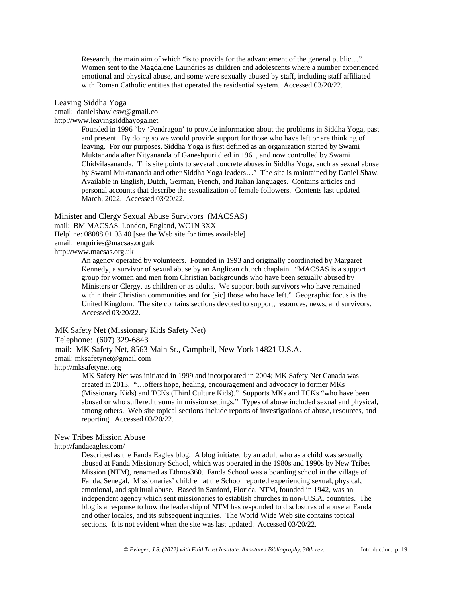Research, the main aim of which "is to provide for the advancement of the general public…" Women sent to the Magdalene Laundries as children and adolescents where a number experienced emotional and physical abuse, and some were sexually abused by staff, including staff affiliated with Roman Catholic entities that operated the residential system. Accessed 03/20/22.

#### Leaving Siddha Yoga

email: danielshawlcsw@gmail.co

[http://www.leavingsiddhayoga.net](http://www.leavingsiddhayoga.net/)

Founded in 1996 "by 'Pendragon' to provide information about the problems in Siddha Yoga, past and present. By doing so we would provide support for those who have left or are thinking of leaving. For our purposes, Siddha Yoga is first defined as an organization started by Swami Muktananda after Nityananda of Ganeshpuri died in 1961, and now controlled by Swami Chidvilasananda. This site points to several concrete abuses in Siddha Yoga, such as sexual abuse by Swami Muktananda and other Siddha Yoga leaders…" The site is maintained by Daniel Shaw. Available in English, Dutch, German, French, and Italian languages. Contains articles and personal accounts that describe the sexualization of female followers. Contents last updated March, 2022. Accessed 03/20/22.

Minister and Clergy Sexual Abuse Survivors (MACSAS) mail: BM MACSAS, London, England, WC1N 3XX Helpline: 08088 01 03 40 [see the Web site for times available] email: enquiries@macsas.org.uk [http://www.macsas.org.uk](http://www.macsas.org.uk/)

> An agency operated by volunteers. Founded in 1993 and originally coordinated by Margaret Kennedy, a survivor of sexual abuse by an Anglican church chaplain. "MACSAS is a support group for women and men from Christian backgrounds who have been sexually abused by Ministers or Clergy, as children or as adults. We support both survivors who have remained within their Christian communities and for [sic] those who have left." Geographic focus is the United Kingdom. The site contains sections devoted to support, resources, news, and survivors. Accessed 03/20/22.

MK Safety Net (Missionary Kids Safety Net)

Telephone: (607) 329-6843

mail: MK Safety Net, 8563 Main St., Campbell, New York 14821 U.S.A.

email: mksafetynet@gmail.com

[http://mksafetynet.org](http://mksafetynet.org/)

MK Safety Net was initiated in 1999 and incorporated in 2004; MK Safety Net Canada was created in 2013. "…offers hope, healing, encouragement and advocacy to former MKs (Missionary Kids) and TCKs (Third Culture Kids)." Supports MKs and TCKs "who have been abused or who suffered trauma in mission settings." Types of abuse included sexual and physical, among others. Web site topical sections include reports of investigations of abuse, resources, and reporting. Accessed 03/20/22.

New Tribes Mission Abuse

<http://fandaeagles.com/>

Described as the Fanda Eagles blog. A blog initiated by an adult who as a child was sexually abused at Fanda Missionary School, which was operated in the 1980s and 1990s by New Tribes Mission (NTM), renamed as Ethnos360. Fanda School was a boarding school in the village of Fanda, Senegal. Missionaries' children at the School reported experiencing sexual, physical, emotional, and spiritual abuse. Based in Sanford, Florida, NTM, founded in 1942, was an independent agency which sent missionaries to establish churches in non-U.S.A. countries. The blog is a response to how the leadership of NTM has responded to disclosures of abuse at Fanda and other locales, and its subsequent inquiries. The World Wide Web site contains topical sections. It is not evident when the site was last updated. Accessed 03/20/22.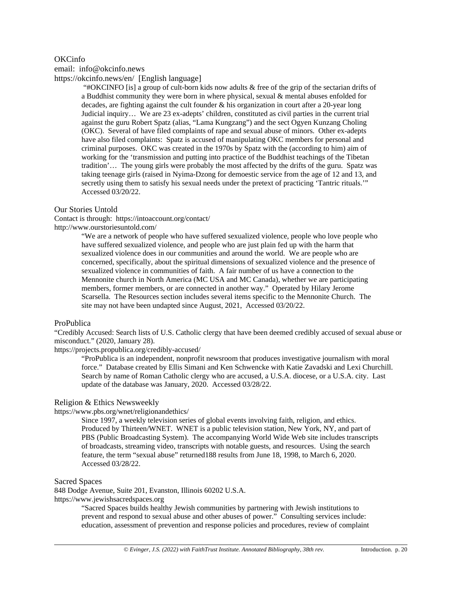# OKCinfo

email: [info@okcinfo.news](mailto:info@okcinfo.news)

<https://okcinfo.news/en/> [English language]

"#OKCINFO [is] a group of cult-born kids now adults & free of the grip of the sectarian drifts of a Buddhist community they were born in where physical, sexual & mental abuses enfolded for decades, are fighting against the cult founder  $\&$  his organization in court after a 20-year long Judicial inquiry… We are 23 ex-adepts' children, constituted as civil parties in the current trial against the guru Robert Spatz (alias, "Lama Kungzang") and the sect Ogyen Kunzang Choling (OKC). Several of have filed complaints of rape and sexual abuse of minors. Other ex-adepts have also filed complaints: Spatz is accused of manipulating OKC members for personal and criminal purposes. OKC was created in the 1970s by Spatz with the (according to him) aim of working for the 'transmission and putting into practice of the Buddhist teachings of the Tibetan tradition'… The young girls were probably the most affected by the drifts of the guru. Spatz was taking teenage girls (raised in Nyima-Dzong for demoestic service from the age of 12 and 13, and secretly using them to satisfy his sexual needs under the pretext of practicing 'Tantric rituals.'" Accessed 03/20/22.

# Our Stories Untold

Contact is through:<https://intoaccount.org/contact/> <http://www.ourstoriesuntold.com/>

> "We are a network of people who have suffered sexualized violence, people who love people who have suffered sexualized violence, and people who are just plain fed up with the harm that sexualized violence does in our communities and around the world. We are people who are concerned, specifically, about the spiritual dimensions of sexualized violence and the presence of sexualized violence in communities of faith. A fair number of us have a connection to the Mennonite church in North America (MC USA and MC Canada), whether we are participating members, former members, or are connected in another way." Operated by Hilary Jerome Scarsella. The Resources section includes several items specific to the Mennonite Church. The site may not have been undapted since August, 2021, Accessed 03/20/22.

## ProPublica

"Credibly Accused: Search lists of U.S. Catholic clergy that have been deemed credibly accused of sexual abuse or misconduct." (2020, January 28).

<https://projects.propublica.org/credibly-accused/>

"ProPublica is an independent, nonprofit newsroom that produces investigative journalism with moral force." Database created by Ellis Simani and Ken Schwencke with Katie Zavadski and Lexi Churchill. Search by name of Roman Catholic clergy who are accused, a U.S.A. diocese, or a U.S.A. city. Last update of the database was January, 2020. Accessed 03/28/22.

## Religion & Ethics Newsweekly

#### <https://www.pbs.org/wnet/religionandethics/>

Since 1997, a weekly television series of global events involving faith, religion, and ethics. Produced by Thirteen/WNET. WNET is a public television station, New York, NY, and part of PBS (Public Broadcasting System). The accompanying World Wide Web site includes transcripts of broadcasts, streaming video, transcripts with notable guests, and resources. Using the search feature, the term "sexual abuse" returned188 results from June 18, 1998, to March 6, 2020. Accessed 03/28/22.

#### Sacred Spaces

848 Dodge Avenue, Suite 201, Evanston, Illinois 60202 U.S.A. [https://www.jewishsacredspaces.org](https://www.jewishsacredspaces.org/)

"Sacred Spaces builds healthy Jewish communities by partnering with Jewish institutions to prevent and respond to sexual abuse and other abuses of power." Consulting services include: education, assessment of prevention and response policies and procedures, review of complaint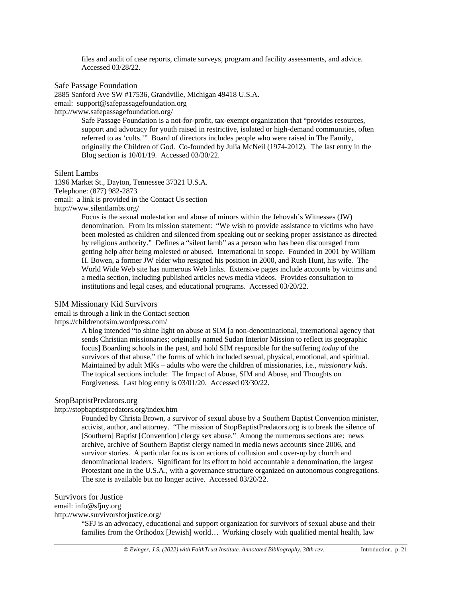files and audit of case reports, climate surveys, program and facility assessments, and advice. Accessed 03/28/22.

Safe Passage Foundation

2885 Sanford Ave SW #17536, Grandville, Michigan 49418 U.S.A.

email: support@safepassagefoundation.org

<http://www.safepassagefoundation.org/>

Safe Passage Foundation is a not-for-profit, tax-exempt organization that "provides resources, support and advocacy for youth raised in restrictive, isolated or high-demand communities, often referred to as 'cults.'" Board of directors includes people who were raised in The Family, originally the Children of God. Co-founded by Julia McNeil (1974-2012). The last entry in the Blog section is 10/01/19. Accessed 03/30/22.

Silent Lambs

1396 Market St., Dayton, Tennessee 37321 U.S.A. Telephone: (877) 982-2873 email: a link is provided in the Contact Us section <http://www.silentlambs.org/>

> Focus is the sexual molestation and abuse of minors within the Jehovah's Witnesses (JW) denomination. From its mission statement: "We wish to provide assistance to victims who have been molested as children and silenced from speaking out or seeking proper assistance as directed by religious authority." Defines a "silent lamb" as a person who has been discouraged from getting help after being molested or abused. International in scope. Founded in 2001 by William H. Bowen, a former JW elder who resigned his position in 2000, and Rush Hunt, his wife. The World Wide Web site has numerous Web links. Extensive pages include accounts by victims and a media section, including published articles news media videos. Provides consultation to institutions and legal cases, and educational programs. Accessed 03/20/22.

#### SIM Missionary Kid Survivors

email is through a link in the Contact section

<https://childrenofsim.wordpress.com/>

A blog intended "to shine light on abuse at SIM [a non-denominational, international agency that sends Christian missionaries; originally named Sudan Interior Mission to reflect its geographic focus] Boarding schools in the past, and hold SIM responsible for the suffering *today* of the survivors of that abuse," the forms of which included sexual, physical, emotional, and spiritual. Maintained by adult MKs – adults who were the children of missionaries, i.e., *missionary kids*. The topical sections include: The Impact of Abuse, SIM and Abuse, and Thoughts on Forgiveness. Last blog entry is 03/01/20. Accessed 03/30/22.

# StopBaptistPredators.org

#### <http://stopbaptistpredators.org/index.htm>

Founded by Christa Brown, a survivor of sexual abuse by a Southern Baptist Convention minister, activist, author, and attorney. "The mission of StopBaptistPredators.org is to break the silence of [Southern] Baptist [Convention] clergy sex abuse." Among the numerous sections are: news archive, archive of Southern Baptist clergy named in media news accounts since 2006, and survivor stories. A particular focus is on actions of collusion and cover-up by church and denominational leaders. Significant for its effort to hold accountable a denomination, the largest Protestant one in the U.S.A., with a governance structure organized on autonomous congregations. The site is available but no longer active. Accessed 03/20/22.

#### Survivors for Justice

email: info@sfjny.org

<http://www.survivorsforjustice.org/>

"SFJ is an advocacy, educational and support organization for survivors of sexual abuse and their families from the Orthodox [Jewish] world... Working closely with qualified mental health, law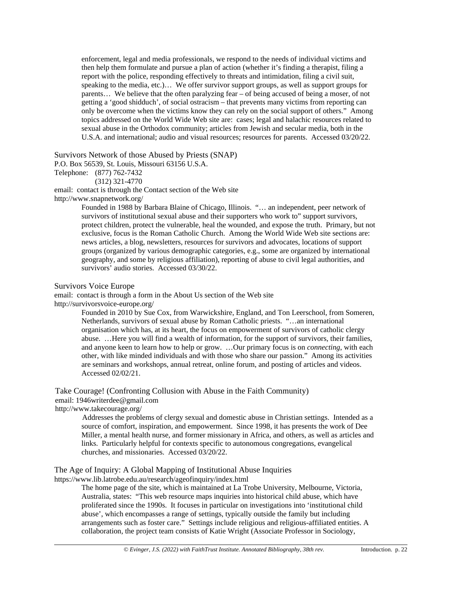enforcement, legal and media professionals, we respond to the needs of individual victims and then help them formulate and pursue a plan of action (whether it's finding a therapist, filing a report with the police, responding effectively to threats and intimidation, filing a civil suit, speaking to the media, etc.)… We offer survivor support groups, as well as support groups for parents… We believe that the often paralyzing fear – of being accused of being a moser, of not getting a 'good shidduch', of social ostracism – that prevents many victims from reporting can only be overcome when the victims know they can rely on the social support of others." Among topics addressed on the World Wide Web site are: cases; legal and halachic resources related to sexual abuse in the Orthodox community; articles from Jewish and secular media, both in the U.S.A. and international; audio and visual resources; resources for parents. Accessed 03/20/22.

Survivors Network of those Abused by Priests (SNAP)

P.O. Box 56539, St. Louis, Missouri 63156 U.S.A.

Telephone: (877) 762-7432

(312) 321-4770

email: contact is through the Contact section of the Web site

<http://www.snapnetwork.org/>

Founded in 1988 by Barbara Blaine of Chicago, Illinois. "… an independent, peer network of survivors of institutional sexual abuse and their supporters who work to" support survivors, protect children, protect the vulnerable, heal the wounded, and expose the truth. Primary, but not exclusive, focus is the Roman Catholic Church. Among the World Wide Web site sections are: news articles, a blog, newsletters, resources for survivors and advocates, locations of support groups (organized by various demographic categories, e.g., some are organized by international geography, and some by religious affiliation), reporting of abuse to civil legal authorities, and survivors' audio stories. Accessed 03/30/22.

## Survivors Voice Europe

email: contact is through a form in the About Us section of the Web site <http://survivorsvoice-europe.org/>

> Founded in 2010 by Sue Cox, from Warwickshire, England, and Ton Leerschool, from Someren, Netherlands, survivors of sexual abuse by Roman Catholic priests. "…an international organisation which has, at its heart, the focus on empowerment of survivors of catholic clergy abuse. …Here you will find a wealth of information, for the support of survivors, their families, and anyone keen to learn how to help or grow. …Our primary focus is on *connecting*, with each other, with like minded individuals and with those who share our passion." Among its activities are seminars and workshops, annual retreat, online forum, and posting of articles and videos. Accessed 02/02/21.

Take Courage! (Confronting Collusion with Abuse in the Faith Community) email: 1946writerdee@gmail.com

<http://www.takecourage.org/>

Addresses the problems of clergy sexual and domestic abuse in Christian settings. Intended as a source of comfort, inspiration, and empowerment. Since 1998, it has presents the work of Dee Miller, a mental health nurse, and former missionary in Africa, and others, as well as articles and links. Particularly helpful for contexts specific to autonomous congregations, evangelical churches, and missionaries. Accessed 03/20/22.

# The Age of Inquiry: A Global Mapping of Institutional Abuse Inquiries

<https://www.lib.latrobe.edu.au/research/ageofinquiry/index.html>

The home page of the site, which is maintained at La Trobe University, Melbourne, Victoria, Australia, states: "This web resource maps inquiries into historical child abuse, which have proliferated since the 1990s. It focuses in particular on investigations into 'institutional child abuse', which encompasses a range of settings, typically outside the family but including arrangements such as foster care." Settings include religious and religious-affiliated entities. A collaboration, the project team consists of Katie Wright (Associate Professor in Sociology,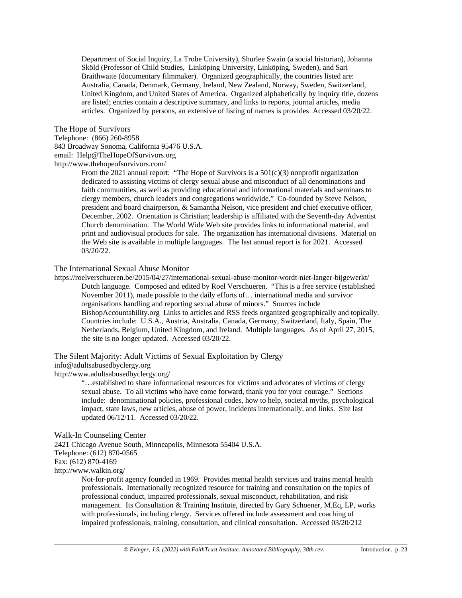Department of Social Inquiry, La Trobe University), Shurlee Swain (a social historian), Johanna Sköld (Professor of Child Studies, Linköping University, Linköping, Sweden), and Sari Braithwaite (documentary filmmaker). Organized geographically, the countries listed are: Australia, Canada, Denmark, Germany, Ireland, New Zealand, Norway, Sweden, Switzerland, United Kingdom, and United States of America. Organized alphabetically by inquiry title, dozens are listed; entries contain a descriptive summary, and links to reports, journal articles, media articles. Organized by persons, an extensive of listing of names is provides Accessed 03/20/22.

#### The Hope of Survivors

Telephone: (866) 260-8958 843 Broadway Sonoma, California 95476 U.S.A. email: Help@TheHopeOfSurvivors.org <http://www.thehopeofsurvivors.com/>

From the 2021 annual report: "The Hope of Survivors is a 501(c)(3) nonprofit organization dedicated to assisting victims of clergy sexual abuse and misconduct of all denominations and faith communities, as well as providing educational and informational materials and seminars to clergy members, church leaders and congregations worldwide." Co-founded by Steve Nelson, president and board chairperson, & Samantha Nelson, vice president and chief executive officer, December, 2002. Orientation is Christian; leadership is affiliated with the Seventh-day Adventist Church denomination. The World Wide Web site provides links to informational material, and print and audiovisual products for sale. The organization has international divisions. Material on the Web site is available in multiple languages. The last annual report is for 2021. Accessed 03/20/22.

#### The International Sexual Abuse Monitor

<https://roelverschueren.be/2015/04/27/international-sexual-abuse-monitor-wordt-niet-langer-bijgewerkt/> Dutch language. Composed and edited by Roel Verschueren. "This is a free service (established November 2011), made possible to the daily efforts of… international media and survivor organisations handling and reporting sexual abuse of minors." Sources include BishopAccountability.org Links to articles and RSS feeds organized geographically and topically. Countries include: U.S.A., Austria, Australia, Canada, Germany, Switzerland, Italy, Spain, The Netherlands, Belgium, United Kingdom, and Ireland. Multiple languages. As of April 27, 2015, the site is no longer updated. Accessed 03/20/22.

The Silent Majority: Adult Victims of Sexual Exploitation by Clergy [info@adultsabusedbyclergy.org](mailto:info@adultsabusedbyclergy.org) <http://www.adultsabusedbyclergy.org/>

"…established to share informational resources for victims and advocates of victims of clergy sexual abuse. To all victims who have come forward, thank you for your courage." Sections include: denominational policies, professional codes, how to help, societal myths, psychological impact, state laws, new articles, abuse of power, incidents internationally, and links. Site last updated 06/12/11. Accessed 03/20/22.

#### Walk-In Counseling Center

2421 Chicago Avenue South, Minneapolis, Minnesota 55404 U.S.A.

Telephone: (612) 870-0565

Fax: (612) 870-4169

<http://www.walkin.org/>

Not-for-profit agency founded in 1969. Provides mental health services and trains mental health professionals. Internationally recognized resource for training and consultation on the topics of professional conduct, impaired professionals, sexual misconduct, rehabilitation, and risk management. Its Consultation & Training Institute, directed by Gary Schoener, M.Eq, LP, works with professionals, including clergy. Services offered include assessment and coaching of impaired professionals, training, consultation, and clinical consultation. Accessed 03/20/212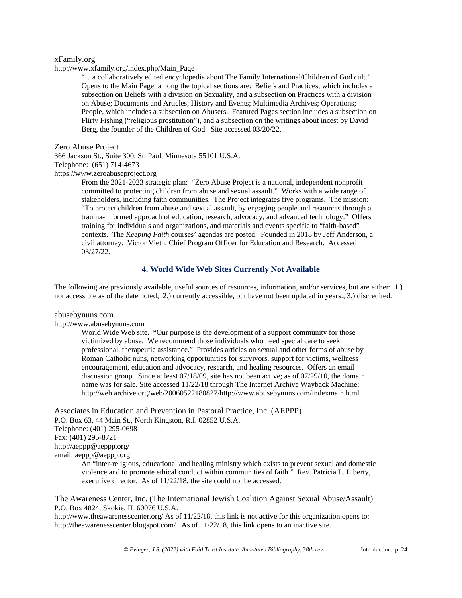#### xFamily.org

[http://www.xfamily.org/index.php/Main\\_Page](http://www.xfamily.org/index.php/Main_Page)

"…a collaboratively edited encyclopedia about [The Family International](http://www.xfamily.org/index.php/The_Family_International)[/Children of God](http://www.xfamily.org/index.php/Children_of_God) [cult.](http://www.xfamily.org/index.php/Cult)" Opens to the Main Page; among the topical sections are: Beliefs and Practices, which includes a subsection on Beliefs with a division on Sexuality, and a subsection on Practices with a division on Abuse; Documents and Articles; History and Events; Multimedia Archives; Operations; People, which includes a subsection on Abusers. Featured Pages section includes a subsection on Flirty Fishing ("religious prostitution"), and a subsection on the writings about incest by David Berg, the founder of the Children of God. Site accessed 03/20/22.

Zero Abuse Project

366 Jackson St., Suite 300, St. Paul, Minnesota 55101 U.S.A. Telephone: (651) 714-4673

[https://www.zeroabuseproject.org](https://www.zeroabuseproject.org/)

From the 2021-2023 strategic plan: "Zero Abuse Project is a national, independent nonprofit committed to protecting children from abuse and sexual assault." Works with a wide range of stakeholders, including faith communities. The Project integrates five programs. The mission: "To protect children from abuse and sexual assault, by engaging people and resources through a trauma-informed approach of education, research, advocacy, and advanced technology." Offers training for individuals and organizations, and materials and events specific to "faith-based" contexts. The *Keeping Faith* courses' agendas are posted. Founded in 2018 by Jeff Anderson, a civil attorney. Victor Vieth, Chief Program Officer for Education and Research. Accessed 03/27/22.

# **4. World Wide Web Sites Currently Not Available**

The following are previously available, useful sources of resources, information, and/or services, but are either: 1.) not accessible as of the date noted; 2.) currently accessible, but have not been updated in years.; 3.) discredited.

abusebynuns.com

[http://www.abusebynuns.com](http://www.abusebynuns.com/)

World Wide Web site. "Our purpose is the development of a support community for those victimized by abuse. We recommend those individuals who need special care to seek professional, therapeutic assistance." Provides articles on sexual and other forms of abuse by Roman Catholic nuns, networking opportunities for survivors, support for victims, wellness encouragement, education and advocacy, research, and healing resources. Offers an email discussion group. Since at least 07/18/09, site has not been active; as of 07/29/10, the domain name was for sale. Site accessed 11/22/18 through The Internet Archive Wayback Machine: [http://web.archive.org/web/20060522180827/http://www.abusebynuns.com/indexmain.html](http://web.archive.org/web/20060522180827/http:/www.abusebynuns.com/indexmain.html)

Associates in Education and Prevention in Pastoral Practice, Inc. (AEPPP) P.O. Box 63, 44 Main St., North Kingston, R.I. 02852 U.S.A. Telephone: (401) 295-0698 Fax: (401) 295-8721 <http://aeppp@aeppp.org/> email: aeppp@aeppp.org

An "inter-religious, educational and healing ministry which exists to prevent sexual and domestic violence and to promote ethical conduct within communities of faith." Rev. Patricia L. Liberty, executive director. As of 11/22/18, the site could not be accessed.

The Awareness Center, Inc. (The International Jewish Coalition Against Sexual Abuse/Assault) P.O. Box 4824, Skokie, IL 60076 U.S.A.

<http://www.theawarenesscenter.org/> As of  $11/22/18$ , this link is not active for this organization.opens to: <http://theawarenesscenter.blogspot.com/> As of  $11/22/18$ , this link opens to an inactive site.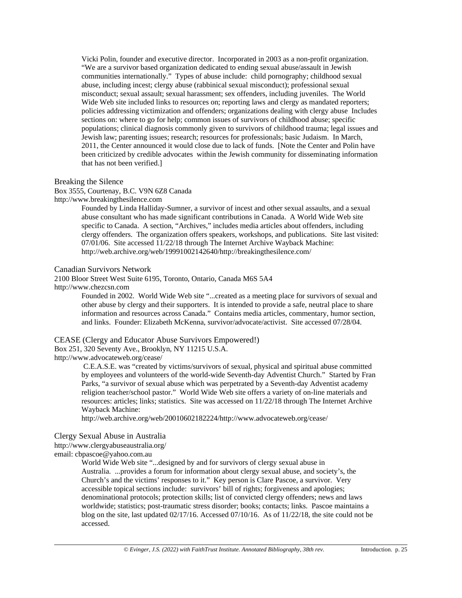Vicki Polin, founder and executive director. Incorporated in 2003 as a non-profit organization. "We are a survivor based organization dedicated to ending sexual abuse/assault in Jewish communities internationally." Types of abuse include: child pornography; childhood sexual abuse, including incest; clergy abuse (rabbinical sexual misconduct); professional sexual misconduct; sexual assault; sexual harassment; sex offenders, including juveniles. The World Wide Web site included links to resources on; reporting laws and clergy as mandated reporters; policies addressing victimization and offenders; organizations dealing with clergy abuse Includes sections on: where to go for help; common issues of survivors of childhood abuse; specific populations; clinical diagnosis commonly given to survivors of childhood trauma; legal issues and Jewish law; parenting issues; research; resources for professionals; basic Judaism. In March, 2011, the Center announced it would close due to lack of funds. [Note the Center and Polin have been criticized by credible advocates within the Jewish community for disseminating information that has not been verified.]

#### Breaking the Silence

Box 3555, Courtenay, B.C. V9N 6Z8 Canada

http://www.breakingthesilence.com

Founded by Linda Halliday-Sumner, a survivor of incest and other sexual assaults, and a sexual abuse consultant who has made significant contributions in Canada. A World Wide Web site specific to Canada. A section, "Archives," includes media articles about offenders, including clergy offenders. The organization offers speakers, workshops, and publications. Site last visited: 07/01/06. Site accessed 11/22/18 through The Internet Archive Wayback Machine: [http://web.archive.org/web/19991002142640/http://breakingthesilence.com/](http://web.archive.org/web/19991002142640/http:/breakingthesilence.com/)

#### Canadian Survivors Network

2100 Bloor Street West Suite 6195, Toronto, Ontario, Canada M6S 5A4

[http://www.chezcsn.com](http://www.chezcsn.com/)

Founded in 2002. World Wide Web site "...created as a meeting place for survivors of sexual and other abuse by clergy and their supporters. It is intended to provide a safe, neutral place to share information and resources across Canada." Contains media articles, commentary, humor section, and links. Founder: Elizabeth McKenna, survivor/advocate/activist. Site accessed 07/28/04.

## CEASE (Clergy and Educator Abuse Survivors Empowered!)

Box 251, 320 Seventy Ave., Brooklyn, NY 11215 U.S.A.

<http://www.advocateweb.org/cease/>

C.E.A.S.E. was "created by victims/survivors of sexual, physical and spiritual abuse committed by employees and volunteers of the world-wide Seventh-day Adventist Church." Started by Fran Parks, "a survivor of sexual abuse which was perpetrated by a Seventh-day Adventist academy religion teacher/school pastor." World Wide Web site offers a variety of on-line materials and resources: articles; links; statistics. Site was accessed on 11/22/18 through The Internet Archive Wayback Machine:

[http://web.archive.org/web/20010602182224/http://www.advocateweb.org/cease/](http://web.archive.org/web/20010602182224/http:/www.advocateweb.org/cease/)

#### Clergy Sexual Abuse in Australia

<http://www.clergyabuseaustralia.org/>

email: cbpascoe@yahoo.com.au

World Wide Web site "...designed by and for survivors of clergy sexual abuse in Australia. ...provides a forum for information about clergy sexual abuse, and society's, the Church's and the victims' responses to it." Key person is Clare Pascoe, a survivor. Very accessible topical sections include: survivors' bill of rights; forgiveness and apologies; denominational protocols; protection skills; list of convicted clergy offenders; news and laws worldwide; statistics; post-traumatic stress disorder; books; contacts; links. Pascoe maintains a blog on the site, last updated  $02/17/16$ . Accessed  $07/10/16$ . As of  $11/22/18$ , the site could not be accessed.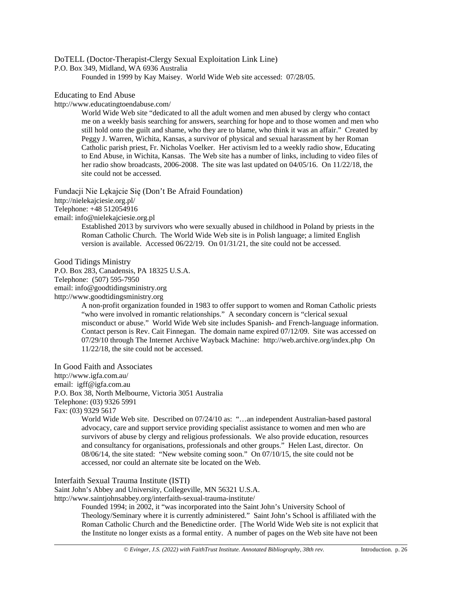## DoTELL (Doctor-Therapist-Clergy Sexual Exploitation Link Line)

P.O. Box 349, Midland, WA 6936 Australia

Founded in 1999 by Kay Maisey. World Wide Web site accessed: 07/28/05.

#### Educating to End Abuse

<http://www.educatingtoendabuse.com/>

World Wide Web site "dedicated to all the adult women and men abused by clergy who contact me on a weekly basis searching for answers, searching for hope and to those women and men who still hold onto the guilt and shame, who they are to blame, who think it was an affair." Created by Peggy J. Warren, Wichita, Kansas, a survivor of physical and sexual harassment by her Roman Catholic parish priest, Fr. Nicholas Voelker. Her activism led to a weekly radio show, Educating to End Abuse, in Wichita, Kansas. The Web site has a number of links, including to video files of her radio show broadcasts, 2006-2008. The site was last updated on 04/05/16. On 11/22/18, the site could not be accessed.

[Fundacji Nie Lękajcie Się](http://nielekajciesie.org.pl/) (Don't Be Afraid Foundation)

<http://nielekajciesie.org.pl/>

Telephone: +48 512054916

email: info@nielekajciesie.org.pl

Established 2013 by survivors who were sexually abused in childhood in Poland by priests in the Roman Catholic Church. The World Wide Web site is in Polish language; a limited English version is available. Accessed 06/22/19. On 01/31/21, the site could not be accessed.

Good Tidings Ministry

P.O. Box 283, Canadensis, PA 18325 U.S.A.

Telephone: (507) 595-7950

email: info@goodtidingsministry.org

[http://www.goodtidingsministry.org](http://www.goodtidingsministry.org/)

A non-profit organization founded in 1983 to offer support to women and Roman Catholic priests "who were involved in romantic relationships." A secondary concern is "clerical sexual misconduct or abuse." World Wide Web site includes Spanish- and French-language information. Contact person is Rev. Cait Finnegan. The domain name expired 07/12/09. Site was accessed on 07/29/10 through The Internet Archive Wayback Machine: <http://web.archive.org/index.php>On 11/22/18, the site could not be accessed.

In Good Faith and Associates <http://www.igfa.com.au/> email: igff@igfa.com.au P.O. Box 38, North Melbourne, Victoria 3051 Australia Telephone: (03) 9326 5991 Fax: (03) 9329 5617

> World Wide Web site. Described on 07/24/10 as: "…an independent Australian-based pastoral advocacy, care and support service providing specialist assistance to women and men who are survivors of abuse by clergy and religious professionals. We also provide education, resources and consultancy for organisations, professionals and other groups." Helen Last, director. On 08/06/14, the site stated: "New website coming soon." On 07/10/15, the site could not be accessed, nor could an alternate site be located on the Web.

Interfaith Sexual Trauma Institute (ISTI)

Saint John's Abbey and University, Collegeville, MN 56321 U.S.A.

http://www.saintjohnsabbey.org/interfaith-sexual-trauma-institute/

Founded 1994; in 2002, it "was incorporated into the Saint John's University School of Theology/Seminary where it is currently administered." Saint John's School is affiliated with the Roman Catholic Church and the Benedictine order. [The World Wide Web site is not explicit that the Institute no longer exists as a formal entity. A number of pages on the Web site have not been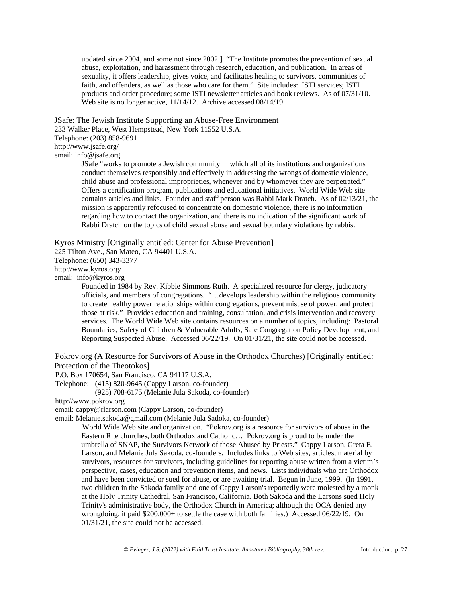updated since 2004, and some not since 2002.] "The Institute promotes the prevention of sexual abuse, exploitation, and harassment through research, education, and publication. In areas of sexuality, it offers leadership, gives voice, and facilitates healing to survivors, communities of faith, and offenders, as well as those who care for them." Site includes: ISTI services; ISTI products and order procedure; some ISTI newsletter articles and book reviews. As of 07/31/10. Web site is no longer active, 11/14/12. Archive accessed 08/14/19.

JSafe: The Jewish Institute Supporting an Abuse-Free Environment

233 Walker Place, West Hempstead, New York 11552 U.S.A.

Telephone: (203) 858-9691

<http://www.jsafe.org/>

email: info@jsafe.org

JSafe "works to promote a Jewish community in which all of its institutions and organizations conduct themselves responsibly and effectively in addressing the wrongs of domestic violence, child abuse and professional improprieties, whenever and by whomever they are perpetrated." Offers a certification program, publications and educational initiatives. World Wide Web site contains articles and links. Founder and staff person was Rabbi Mark Dratch. As of 02/13/21, the mission is apparently refocused to concentrate on domestric violence, there is no information regarding how to contact the organization, and there is no indication of the significant work of Rabbi Dratch on the topics of child sexual abuse and sexual boundary violations by rabbis.

Kyros Ministry [Originally entitled: Center for Abuse Prevention]

225 Tilton Ave., San Mateo, CA 94401 U.S.A.

Telephone: (650) 343-3377

<http://www.kyros.org/>

email: info@kyros.org

Founded in 1984 by Rev. Kibbie Simmons Ruth. A specialized resource for clergy, judicatory officials, and members of congregations. "…develops leadership within the religious community to create healthy power relationships within congregations, prevent misuse of power, and protect those at risk." Provides education and training, consultation, and crisis intervention and recovery services. The World Wide Web site contains resources on a number of topics, including: Pastoral Boundaries, Safety of Children & Vulnerable Adults, Safe Congregation Policy Development, and Reporting Suspected Abuse. Accessed 06/22/19. On 01/31/21, the site could not be accessed.

Pokrov.org (A Resource for Survivors of Abuse in the Orthodox Churches) [Originally entitled: Protection of the Theotokos]

P.O. Box 170654, San Francisco, CA 94117 U.S.A.

Telephone: (415) 820-9645 (Cappy Larson, co-founder)

(925) 708-6175 (Melanie Jula Sakoda, co-founder)

[http://www.pokrov.org](http://www.pokrov.org/)

email: cappy@rlarson.com (Cappy Larson, co-founder)

email: Melanie.sakoda@gmail.com (Melanie Jula Sadoka, co-founder)

World Wide Web site and organization. "Pokrov.org is a resource for survivors of abuse in the Eastern Rite churches, both Orthodox and Catholic… Pokrov.org is proud to be under the umbrella of SNAP, the Survivors Network of those Abused by Priests." Cappy Larson, Greta E. Larson, and Melanie Jula Sakoda, co-founders. Includes links to Web sites, articles, material by survivors, resources for survivors, including guidelines for reporting abuse written from a victim's perspective, cases, education and prevention items, and news. Lists individuals who are Orthodox and have been convicted or sued for abuse, or are awaiting trial. Begun in June, 1999. (In 1991, two children in the Sakoda family and one of Cappy Larson's reportedly were molested by a monk at the Holy Trinity Cathedral, San Francisco, California. Both Sakoda and the Larsons sued Holy Trinity's administrative body, the Orthodox Church in America; although the OCA denied any wrongdoing, it paid \$200,000+ to settle the case with both families.) Accessed 06/22/19. On 01/31/21, the site could not be accessed.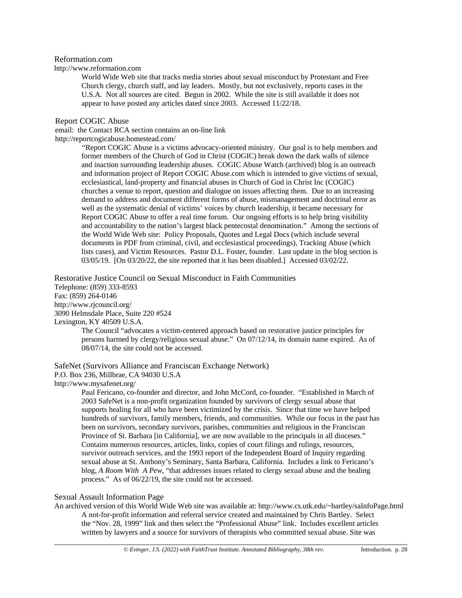#### Reformation.com

[http://www.reformation.com](http://www.reformation.com/)

World Wide Web site that tracks media stories about sexual misconduct by Protestant and Free Church clergy, church staff, and lay leaders. Mostly, but not exclusively, reports cases in the U.S.A. Not all sources are cited. Begun in 2002. While the site is still available it does not appear to have posted any articles dated since 2003. Accessed 11/22/18.

#### Report COGIC Abuse

email: the Contact RCA section contains an on-line link <http://reportcogicabuse.homestead.com/>

> "Report COGIC Abuse is a victims advocacy-oriented ministry. Our goal is to help members and former members of the Church of God in Christ (COGIC) break down the dark walls of silence and inaction surrounding leadership abuses. COGIC Abuse Watch (archived) blog is an outreach and information project of Report COGIC Abuse.com which is intended to give victims of sexual, ecclesiastical, land-property and financial abuses in Church of God in Christ Inc (COGIC) churches a venue to report, question and dialogue on issues affecting them. Due to an increasing demand to address and document different forms of abuse, mismanagement and doctrinal error as well as the systematic denial of victims' voices by church leadership, it became necessary for Report COGIC Abuse to offer a real time forum. Our ongoing efforts is to help bring visibility and accountability to the nation's largest black pentecostal denomination." Among the sections of the World Wide Web site: Policy Proposals, Quotes and Legal Docs (which include several documents in PDF from criminal, civil, and ecclesiastical proceedings), Tracking Abuse (which lists cases), and Victim Resources. Pastor D.L. Foster, founder. Last update in the blog section is 03/05/19. [On 03/20/22, the site reported that it has been disabled.] Accessed 03/02/22.

Restorative Justice Council on Sexual Misconduct in Faith Communities Telephone: (859) 333-8593 Fax: (859) 264-0146 <http://www.rjcouncil.org/> 3090 Helmsdale Place, Suite 220 #524 Lexington, KY 40509 U.S.A.

> The Council "advocates a victim-centered approach based on restorative justice principles for persons harmed by clergy/religious sexual abuse." On 07/12/14, its domain name expired. As of 08/07/14, the site could not be accessed.

SafeNet (Survivors Alliance and Franciscan Exchange Network) P.O. Box 236, Millbrae, CA 94030 U.S.A <http://www.mysafenet.org/>

> Paul Fericano, co-founder and director, and John McCord, co-founder. "Established in March of 2003 SafeNet is a non-profit organization founded by survivors of clergy sexual abuse that supports healing for all who have been victimized by the crisis. Since that time we have helped hundreds of survivors, family members, friends, and communities. While our focus in the past has been on survivors, secondary survivors, parishes, communities and religious in the Franciscan Province of St. Barbara [in California], we are now available to the principals in all dioceses." Contains numerous resources, articles, links, copies of court filings and rulings, resources, survivor outreach services, and the 1993 report of the Independent Board of Inquiry regarding sexual abuse at St. Anthony's Seminary, Santa Barbara, California. Includes a link to Fericano's blog, *A Room With A Pew*, "that addresses issues related to clergy sexual abuse and the healing process." As of 06/22/19, the site could not be accessed.

#### Sexual Assault Information Page

An archived version of this World Wide Web site was available at: http://www.cs.utk.edu/~bartley/saInfoPage.html A not-for-profit information and referral service created and maintained by Chris Bartley. Select the "Nov. 28, 1999" link and then select the "Professional Abuse" link. Includes excellent articles written by lawyers and a source for survivors of therapists who committed sexual abuse. Site was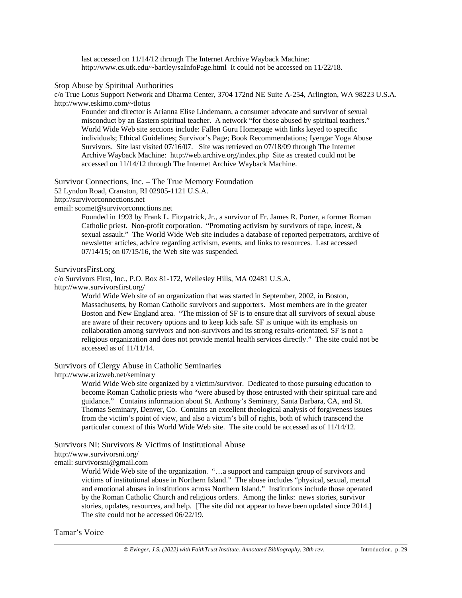last accessed on 11/14/12 through The Internet Archive Wayback Machine: [http://www.cs.utk.edu/~bartley/saInfoPage.html](http://www.cs.utk.edu/%7Ebartley/saInfoPage.html) It could not be accessed on 11/22/18.

Stop Abuse by Spiritual Authorities

c/o True Lotus Support Network and Dharma Center, 3704 172nd NE Suite A-254, Arlington, WA 98223 U.S.A. [http://www.eskimo.com/~tlotus](http://www.eskimo.com/%7Etlotus)

Founder and director is Arianna Elise Lindemann, a consumer advocate and survivor of sexual misconduct by an Eastern spiritual teacher. A network "for those abused by spiritual teachers." World Wide Web site sections include: Fallen Guru Homepage with links keyed to specific individuals; Ethical Guidelines; Survivor's Page; Book Recommendations; Iyengar Yoga Abuse Survivors. Site last visited 07/16/07. Site was retrieved on 07/18/09 through The Internet Archive Wayback Machine: http://web.archive.org/index.php Site as created could not be accessed on 11/14/12 through The Internet Archive Wayback Machine.

Survivor Connections, Inc. – The True Memory Foundation

52 Lyndon Road, Cranston, RI 02905-1121 U.S.A.

[http://survivorconnections.net](http://survivorconnections.net/)

email: [scomet@survivorconnctions.net](mailto:scomet@survivorconnctions.net)

Founded in 1993 by Frank L. Fitzpatrick, Jr., a survivor of Fr. James R. Porter, a former Roman Catholic priest. Non-profit corporation. "Promoting activism by survivors of rape, incest, & sexual assault." The World Wide Web site includes a database of reported perpetrators, archive of newsletter articles, advice regarding activism, events, and links to resources. Last accessed 07/14/15; on 07/15/16, the Web site was suspended.

SurvivorsFirst.org

c/o Survivors First, Inc., P.O. Box 81-172, Wellesley Hills, MA 02481 U.S.A.

<http://www.survivorsfirst.org/>

World Wide Web site of an organization that was started in September, 2002, in Boston, Massachusetts, by Roman Catholic survivors and supporters. Most members are in the greater Boston and New England area. "The mission of SF is to ensure that all survivors of sexual abuse are aware of their recovery options and to keep kids safe. SF is unique with its emphasis on collaboration among survivors and non-survivors and its strong results-orientated. SF is not a religious organization and does not provide mental health services directly." The site could not be accessed as of 11/11/14.

Survivors of Clergy Abuse in Catholic Seminaries

<http://www.arizweb.net/seminary>

World Wide Web site organized by a victim/survivor. Dedicated to those pursuing education to become Roman Catholic priests who "were abused by those entrusted with their spiritual care and guidance." Contains information about St. Anthony's Seminary, Santa Barbara, CA, and St. Thomas Seminary, Denver, Co. Contains an excellent theological analysis of forgiveness issues from the victim's point of view, and also a victim's bill of rights, both of which transcend the particular context of this World Wide Web site. The site could be accessed as of 11/14/12.

Survivors NI: Survivors & Victims of Institutional Abuse

<http://www.survivorsni.org/>

email: survivorsni@gmail.com

World Wide Web site of the organization. "…a support and campaign group of survivors and victims of institutional abuse in Northern Island." The abuse includes "physical, sexual, mental and emotional abuses in institutions across Northern Island." Institutions include those operated by the Roman Catholic Church and religious orders. Among the links: news stories, survivor stories, updates, resources, and help. [The site did not appear to have been updated since 2014.] The site could not be accessed 06/22/19.

Tamar's Voice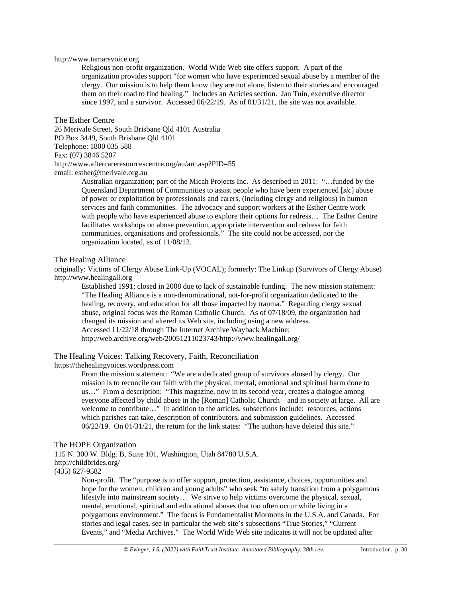#### [http://www.tamarsvoice.org](http://www.tamarsvoice.org/)

Religious non-profit organization. World Wide Web site offers support. A part of the organization provides support "for women who have experienced sexual abuse by a member of the clergy. Our mission is to help them know they are not alone, listen to their stories and encouraged them on their road to find healing." Includes an Articles section. Jan Tuin, executive director since 1997, and a survivor. Accessed 06/22/19. As of 01/31/21, the site was not available.

The Esther Centre 26 Merivale Street, South Brisbane Qld 4101 Australia PO Box 3449, South Brisbane Qld 4101 Telephone: 1800 035 588 Fax: (07) 3846 5207 <http://www.aftercareresourcescentre.org/au/arc.asp?PID=55> email: esther@merivale.org.au

> Australian organization; part of the Micah Projects Inc. As described in 2011: "…funded by the Queensland Department of Communities to assist people who have been experienced [*sic*] abuse of power or exploitation by professionals and carers, (including clergy and religious) in human services and faith communities. The advocacy and support workers at the Esther Centre work with people who have experienced abuse to explore their options for redress… The Esther Centre facilitates workshops on abuse prevention, appropriate intervention and redress for faith communities, organisations and professionals." The site could not be accessed, nor the organization located, as of 11/08/12.

#### The Healing Alliance

originally: Victims of Clergy Abuse Link-Up (VOCAL); formerly: The Linkup (Survivors of Clergy Abuse) http://www.healingall.org

Established 1991; closed in 2008 due to lack of sustainable funding. The new mission statement: "The Healing Alliance is a non-denominational, not-for-profit organization dedicated to the healing, recovery, and education for all those impacted by trauma." Regarding clergy sexual abuse, original focus was the Roman Catholic Church. As of 07/18/09, the organization had changed its mission and altered its Web site, including using a new address. Accessed 11/22/18 through The Internet Archive Wayback Machine: [http://web.archive.org/web/20051211023743/http://www.healingall.org/](http://web.archive.org/web/20051211023743/http:/www.healingall.org/)

The Healing Voices: Talking Recovery, Faith, Reconciliation

[https://thehealingvoices.wordpress.com](https://thehealingvoices.wordpress.com/)

From the mission statement: "We are a dedicated group of survivors abused by clergy. Our mission is to reconcile our faith with the physical, mental, emotional and spiritual harm done to us…" From a description: "This magazine, now in its second year, creates a dialogue among everyone affected by child abuse in the [Roman] Catholic Church – and in society at large. All are welcome to contribute…" In addition to the articles, subsections include: resources, actions which parishes can take, description of contributors, and submission guidelines. Accessed 06/22/19. On 01/31/21, the return for the link states: "The authors have deleted this site."

#### The HOPE Organization

115 N. 300 W. Bldg. B, Suite 101, Washington, Utah 84780 U.S.A. <http://childbrides.org/> (435) 627-9582

Non-profit. The "purpose is to offer support, protection, assistance, choices, opportunities and hope for the women, children and young adults" who seek "to safely transition from a polygamous lifestyle into mainstream society… We strive to help victims overcome the physical, sexual, mental, emotional, spiritual and educational abuses that too often occur while living in a polygamous environment." The focus is Fundamentalist Mormons in the U.S.A. and Canada. For stories and legal cases, see in particular the web site's subsections "True Stories," "Current Events," and "Media Archives." The World Wide Web site indicates it will not be updated after